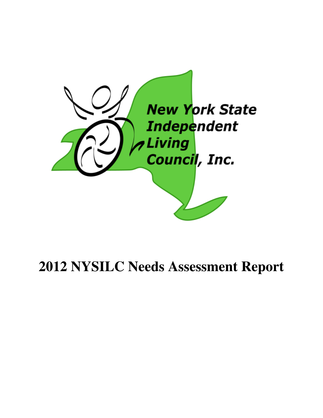

# **2012 NYSILC Needs Assessment Report**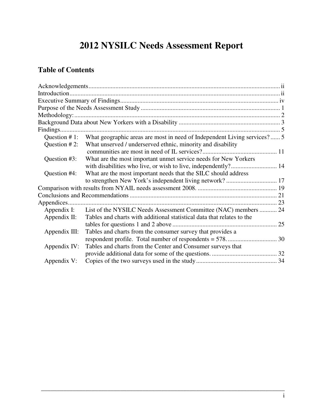## **2012 NYSILC Needs Assessment Report**

## **Table of Contents**

| Question $# 1$ : | What geographic areas are most in need of Independent Living services?  5 |
|------------------|---------------------------------------------------------------------------|
| Question $#2$ :  | What unserved / underserved ethnic, minority and disability               |
|                  |                                                                           |
| Question #3:     | What are the most important unmet service needs for New Yorkers           |
|                  |                                                                           |
| Question #4:     | What are the most important needs that the SILC should address            |
|                  |                                                                           |
|                  |                                                                           |
|                  |                                                                           |
|                  |                                                                           |
| Appendix I:      | List of the NYSILC Needs Assessment Committee (NAC) members  24           |
| Appendix II:     | Tables and charts with additional statistical data that relates to the    |
|                  |                                                                           |
| Appendix III:    | Tables and charts from the consumer survey that provides a                |
|                  |                                                                           |
| Appendix IV:     | Tables and charts from the Center and Consumer surveys that               |
|                  |                                                                           |
| Appendix V:      |                                                                           |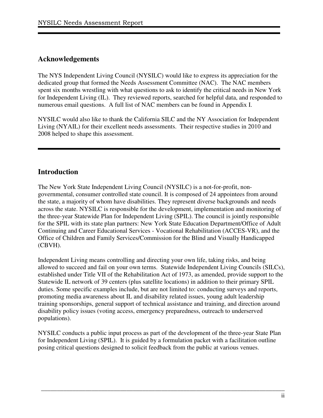## **Acknowledgements**

The NYS Independent Living Council (NYSILC) would like to express its appreciation for the dedicated group that formed the Needs Assessment Committee (NAC). The NAC members spent six months wrestling with what questions to ask to identify the critical needs in New York for Independent Living (IL). They reviewed reports, searched for helpful data, and responded to numerous email questions. A full list of NAC members can be found in Appendix I.

NYSILC would also like to thank the California SILC and the NY Association for Independent Living (NYAIL) for their excellent needs assessments. Their respective studies in 2010 and 2008 helped to shape this assessment.

## **Introduction**

The New York State Independent Living Council (NYSILC) is a not-for-profit, nongovernmental, consumer controlled state council. It is composed of 24 appointees from around the state, a majority of whom have disabilities. They represent diverse backgrounds and needs across the state. NYSILC is responsible for the development, implementation and monitoring of the three-year Statewide Plan for Independent Living (SPIL). The council is jointly responsible for the SPIL with its state plan partners: New York State Education Department/Office of Adult Continuing and Career Educational Services - Vocational Rehabilitation (ACCES-VR), and the Office of Children and Family Services/Commission for the Blind and Visually Handicapped (CBVH).

Independent Living means controlling and directing your own life, taking risks, and being allowed to succeed and fail on your own terms. Statewide Independent Living Councils (SILCs), established under Title VII of the Rehabilitation Act of 1973, as amended, provide support to the Statewide IL network of 39 centers (plus satellite locations) in addition to their primary SPIL duties. Some specific examples include, but are not limited to: conducting surveys and reports, promoting media awareness about IL and disability related issues, young adult leadership training sponsorships, general support of technical assistance and training, and direction around disability policy issues (voting access, emergency preparedness, outreach to underserved populations).

NYSILC conducts a public input process as part of the development of the three-year State Plan for Independent Living (SPIL). It is guided by a formulation packet with a facilitation outline posing critical questions designed to solicit feedback from the public at various venues.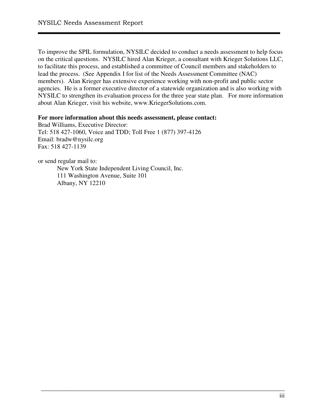To improve the SPIL formulation, NYSILC decided to conduct a needs assessment to help focus on the critical questions. NYSILC hired Alan Krieger, a consultant with Krieger Solutions LLC, to facilitate this process, and established a committee of Council members and stakeholders to lead the process. (See Appendix I for list of the Needs Assessment Committee (NAC) members). Alan Krieger has extensive experience working with non-profit and public sector agencies. He is a former executive director of a statewide organization and is also working with NYSILC to strengthen its evaluation process for the three year state plan. For more information about Alan Krieger, visit his website, www.KriegerSolutions.com.

\_\_\_\_\_\_\_\_\_\_\_\_\_\_\_\_\_\_\_\_\_\_\_\_\_\_\_\_\_\_\_\_\_\_\_\_\_\_\_\_\_\_\_\_\_\_\_\_\_\_\_\_\_\_\_\_\_\_\_\_\_\_\_\_\_\_\_\_\_\_\_\_\_\_\_\_\_

#### **For more information about this needs assessment, please contact:**

Brad Williams, Executive Director: Tel: 518 427-1060, Voice and TDD; Toll Free 1 (877) 397-4126 Email: bradw@nysilc.org Fax: 518 427-1139

or send regular mail to:

New York State Independent Living Council, Inc. 111 Washington Avenue, Suite 101 Albany, NY 12210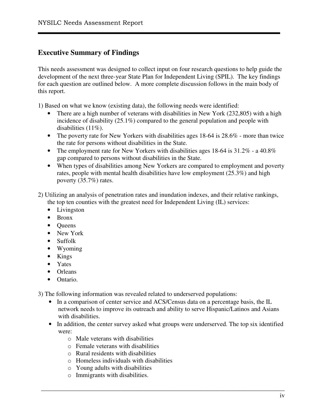## **Executive Summary of Findings**

This needs assessment was designed to collect input on four research questions to help guide the development of the next three-year State Plan for Independent Living (SPIL). The key findings for each question are outlined below. A more complete discussion follows in the main body of this report.

1) Based on what we know (existing data), the following needs were identified:

- There are a high number of veterans with disabilities in New York (232,805) with a high incidence of disability (25.1%) compared to the general population and people with disabilities (11%).
- The poverty rate for New Yorkers with disabilities ages 18-64 is 28.6% more than twice the rate for persons without disabilities in the State.
- The employment rate for New Yorkers with disabilities ages 18-64 is 31.2% a 40.8% gap compared to persons without disabilities in the State.
- When types of disabilities among New Yorkers are compared to employment and poverty rates, people with mental health disabilities have low employment (25.3%) and high poverty (35.7%) rates.
- 2) Utilizing an analysis of penetration rates and inundation indexes, and their relative rankings, the top ten counties with the greatest need for Independent Living (IL) services:
	- Livingston
	- Bronx
	- Oueens
	- New York
	- Suffolk
	- Wyoming
	- Kings
	- Yates
	- Orleans
	- Ontario.

3) The following information was revealed related to underserved populations:

- In a comparison of center service and ACS/Census data on a percentage basis, the IL network needs to improve its outreach and ability to serve Hispanic/Latinos and Asians with disabilities.
- In addition, the center survey asked what groups were underserved. The top six identified were:

- $\circ$  Male veterans with disabilities
- o Female veterans with disabilities
- $\circ$  Rural residents with disabilities
- o Homeless individuals with disabilities
- o Young adults with disabilities
- o Immigrants with disabilities.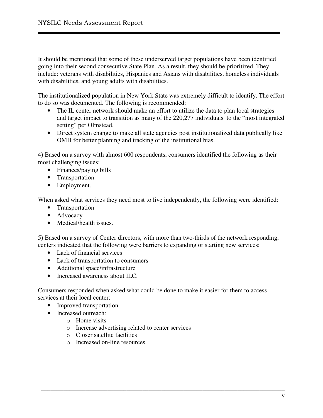It should be mentioned that some of these underserved target populations have been identified going into their second consecutive State Plan. As a result, they should be prioritized. They include: veterans with disabilities, Hispanics and Asians with disabilities, homeless individuals with disabilities, and young adults with disabilities.

The institutionalized population in New York State was extremely difficult to identify. The effort to do so was documented. The following is recommended:

- The IL center network should make an effort to utilize the data to plan local strategies and target impact to transition as many of the 220,277 individuals to the "most integrated setting" per Olmstead.
- Direct system change to make all state agencies post institutionalized data publically like OMH for better planning and tracking of the institutional bias.

4) Based on a survey with almost 600 respondents, consumers identified the following as their most challenging issues:

- Finances/paying bills
- Transportation
- Employment.

When asked what services they need most to live independently, the following were identified:

- Transportation
- Advocacy
- Medical/health issues.

5) Based on a survey of Center directors, with more than two-thirds of the network responding, centers indicated that the following were barriers to expanding or starting new services:

- Lack of financial services
- Lack of transportation to consumers
- Additional space/infrastructure
- Increased awareness about ILC.

Consumers responded when asked what could be done to make it easier for them to access services at their local center:

- Improved transportation
- Increased outreach:
	- o Home visits
	- o Increase advertising related to center services
	- o Closer satellite facilities
	- o Increased on-line resources.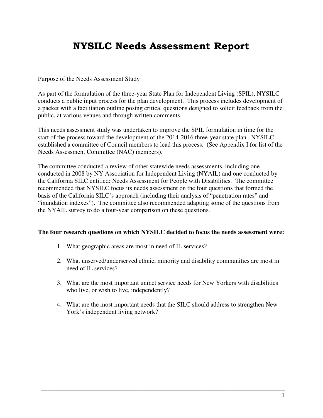## NYSILC Needs Assessment Report

#### Purpose of the Needs Assessment Study

As part of the formulation of the three-year State Plan for Independent Living (SPIL), NYSILC conducts a public input process for the plan development. This process includes development of a packet with a facilitation outline posing critical questions designed to solicit feedback from the public, at various venues and through written comments.

This needs assessment study was undertaken to improve the SPIL formulation in time for the start of the process toward the development of the 2014-2016 three-year state plan. NYSILC established a committee of Council members to lead this process. (See Appendix I for list of the Needs Assessment Committee (NAC) members).

The committee conducted a review of other statewide needs assessments, including one conducted in 2008 by NY Association for Independent Living (NYAIL) and one conducted by the California SILC entitled: Needs Assessment for People with Disabilities. The committee recommended that NYSILC focus its needs assessment on the four questions that formed the basis of the California SILC's approach (including their analysis of "penetration rates" and "inundation indexes"). The committee also recommended adapting some of the questions from the NYAIL survey to do a four-year comparison on these questions.

#### **The four research questions on which NYSILC decided to focus the needs assessment were:**

- 1. What geographic areas are most in need of IL services?
- 2. What unserved/underserved ethnic, minority and disability communities are most in need of IL services?
- 3. What are the most important unmet service needs for New Yorkers with disabilities who live, or wish to live, independently?
- 4. What are the most important needs that the SILC should address to strengthen New York's independent living network?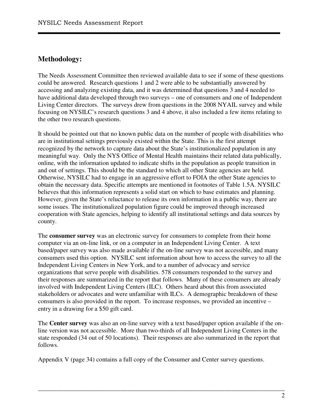## **Methodology:**

The Needs Assessment Committee then reviewed available data to see if some of these questions could be answered. Research questions 1 and 2 were able to be substantially answered by accessing and analyzing existing data, and it was determined that questions 3 and 4 needed to have additional data developed through two surveys – one of consumers and one of Independent Living Center directors. The surveys drew from questions in the 2008 NYAIL survey and while focusing on NYSILC's research questions 3 and 4 above, it also included a few items relating to the other two research questions.

It should be pointed out that no known public data on the number of people with disabilities who are in institutional settings previously existed within the State. This is the first attempt recognized by the network to capture data about the State's institutionalized population in any meaningful way. Only the NYS Office of Mental Health maintains their related data publically, online, with the information updated to indicate shifts in the population as people transition in and out of settings. This should be the standard to which all other State agencies are held. Otherwise, NYSILC had to engage in an aggressive effort to FOIA the other State agencies to obtain the necessary data. Specific attempts are mentioned in footnotes of Table 1.5A. NYSILC believes that this information represents a solid start on which to base estimates and planning. However, given the State's reluctance to release its own information in a public way, there are some issues. The institutionalized population figure could be improved through increased cooperation with State agencies, helping to identify all institutional settings and data sources by county.

The **consumer survey** was an electronic survey for consumers to complete from their home computer via an on-line link, or on a computer in an Independent Living Center. A text based/paper survey was also made available if the on-line survey was not accessible, and many consumers used this option. NYSILC sent information about how to access the survey to all the Independent Living Centers in New York, and to a number of advocacy and service organizations that serve people with disabilities. 578 consumers responded to the survey and their responses are summarized in the report that follows. Many of these consumers are already involved with Independent Living Centers (ILC). Others heard about this from associated stakeholders or advocates and were unfamiliar with ILCs. A demographic breakdown of these consumers is also provided in the report. To increase responses, we provided an incentive – entry in a drawing for a \$50 gift card.

The **Center survey** was also an on-line survey with a text based/paper option available if the online version was not accessible. More than two-thirds of all Independent Living Centers in the state responded (34 out of 50 locations). Their responses are also summarized in the report that follows.

\_\_\_\_\_\_\_\_\_\_\_\_\_\_\_\_\_\_\_\_\_\_\_\_\_\_\_\_\_\_\_\_\_\_\_\_\_\_\_\_\_\_\_\_\_\_\_\_\_\_\_\_\_\_\_\_\_\_\_\_\_\_\_\_\_\_\_\_\_\_\_\_\_\_\_\_\_\_

Appendix V (page 34) contains a full copy of the Consumer and Center survey questions.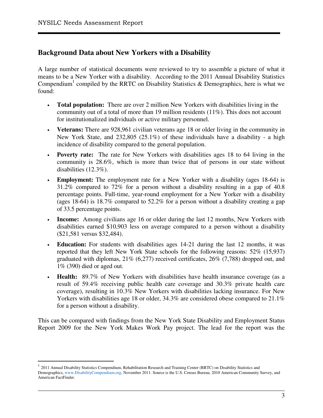$\overline{a}$ 

## **Background Data about New Yorkers with a Disability**

A large number of statistical documents were reviewed to try to assemble a picture of what it means to be a New Yorker with a disability. According to the 2011 Annual Disability Statistics Compendium<sup>1</sup> compiled by the RRTC on Disability Statistics & Demographics, here is what we found:

- **Total population:** There are over 2 million New Yorkers with disabilities living in the community out of a total of more than 19 million residents (11%). This does not account for institutionalized individuals or active military personnel.
- **Veterans:** There are 928,961 civilian veterans age 18 or older living in the community in New York State, and 232,805 (25.1%) of these individuals have a disability - a high incidence of disability compared to the general population.
- **Poverty rate:** The rate for New Yorkers with disabilities ages 18 to 64 living in the community is 28.6%, which is more than twice that of persons in our state without disabilities (12.3%).
- **Employment:** The employment rate for a New Yorker with a disability (ages 18-64) is 31.2% compared to 72% for a person without a disability resulting in a gap of 40.8 percentage points. Full-time, year-round employment for a New Yorker with a disability (ages 18-64) is 18.7% compared to 52.2% for a person without a disability creating a gap of 33.5 percentage points.
- **Income:** Among civilians age 16 or older during the last 12 months, New Yorkers with disabilities earned \$10,903 less on average compared to a person without a disability (\$21,581 versus \$32,484).
- **Education:** For students with disabilities ages 14-21 during the last 12 months, it was reported that they left New York State schools for the following reasons: 52% (15,937) graduated with diplomas, 21% (6,277) received certificates, 26% (7,788) dropped out, and 1% (390) died or aged out.
- **Health:** 89.7% of New Yorkers with disabilities have health insurance coverage (as a result of 59.4% receiving public health care coverage and 30.3% private health care coverage), resulting in 10.3% New Yorkers with disabilities lacking insurance. For New Yorkers with disabilities age 18 or older, 34.3% are considered obese compared to 21.1% for a person without a disability.

This can be compared with findings from the New York State Disability and Employment Status Report 2009 for the New York Makes Work Pay project. The lead for the report was the

<sup>1</sup> 2011 Annual Disability Statistics Compendium, Rehabilitation Research and Training Center (RRTC) on Disability Statistics and Demographics, www.DisabilityCompendium.org, November 2011. Source is the U.S. Census Bureau, 2010 American Community Survey, and American FactFinder.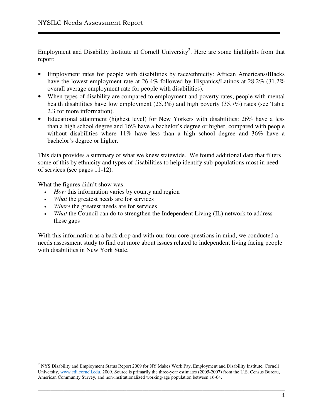Employment and Disability Institute at Cornell University<sup>2</sup>. Here are some highlights from that report:

- Employment rates for people with disabilities by race/ethnicity: African Americans/Blacks have the lowest employment rate at 26.4% followed by Hispanics/Latinos at 28.2% (31.2%) overall average employment rate for people with disabilities).
- When types of disability are compared to employment and poverty rates, people with mental health disabilities have low employment (25.3%) and high poverty (35.7%) rates (see Table 2.3 for more information).
- Educational attainment (highest level) for New Yorkers with disabilities: 26% have a less than a high school degree and 16% have a bachelor's degree or higher, compared with people without disabilities where 11% have less than a high school degree and 36% have a bachelor's degree or higher.

This data provides a summary of what we knew statewide. We found additional data that filters some of this by ethnicity and types of disabilities to help identify sub-populations most in need of services (see pages 11-12).

What the figures didn't show was:

 $\overline{a}$ 

- *How* this information varies by county and region
- *What* the greatest needs are for services
- Where the greatest needs are for services
- *What* the Council can do to strengthen the Independent Living (IL) network to address these gaps

With this information as a back drop and with our four core questions in mind, we conducted a needs assessment study to find out more about issues related to independent living facing people with disabilities in New York State.

 $2$  NYS Disability and Employment Status Report 2009 for NY Makes Work Pay, Employment and Disability Institute, Cornell University, www.edi.cornell.edu, 2009. Source is primarily the three-year estimates (2005-2007) from the U.S. Census Bureau, American Community Survey, and non-institutionalized working-age population between 16-64.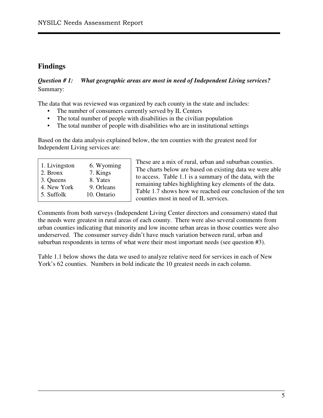## **Findings**

### *Question # 1: What geographic areas are most in need of Independent Living services?*  Summary:

The data that was reviewed was organized by each county in the state and includes:

- The number of consumers currently served by IL Centers
- The total number of people with disabilities in the civilian population
- The total number of people with disabilities who are in institutional settings

Based on the data analysis explained below, the ten counties with the greatest need for Independent Living services are:

| 1. Livingston | 6. Wyoming  |
|---------------|-------------|
| 2. Bronx      | 7. Kings    |
| 3. Queens     | 8. Yates    |
| 4. New York   | 9. Orleans  |
| 5. Suffolk    | 10. Ontario |
|               |             |

These are a mix of rural, urban and suburban counties. The charts below are based on existing data we were able to access. Table 1.1 is a summary of the data, with the remaining tables highlighting key elements of the data. Table 1.7 shows how we reached our conclusion of the ten counties most in need of IL services.

Comments from both surveys (Independent Living Center directors and consumers) stated that the needs were greatest in rural areas of each county. There were also several comments from urban counties indicating that minority and low income urban areas in those counties were also underserved. The consumer survey didn't have much variation between rural, urban and suburban respondents in terms of what were their most important needs (see question #3).

Table 1.1 below shows the data we used to analyze relative need for services in each of New York's 62 counties. Numbers in bold indicate the 10 greatest needs in each column.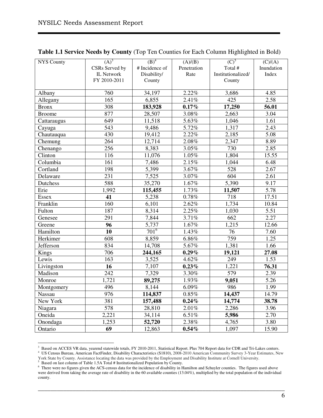| <b>NYS County</b>            | $(A)^3$           | $(B)^4$            | (A)/(B)     | $(C)^5$            | $\overline{(C)/(A)}$ |
|------------------------------|-------------------|--------------------|-------------|--------------------|----------------------|
|                              | CSRs Served by    | # Incidence of     | Penetration | Total #            | Inundation           |
|                              | <b>IL Network</b> | Disability/        | Rate        | Institutionalized/ | Index                |
|                              | FY 2010-2011      | County             |             | County             |                      |
|                              |                   |                    |             |                    |                      |
| Albany                       | 760               | 34,197             | 2.22%       | 3,686              | 4.85                 |
| Allegany                     | 165               | 6,855              | 2.41%       | 425                | 2.58                 |
| <b>Bronx</b>                 | 308               | 183,928            | 0.17%       | 17,250             | 56.01                |
| <b>Broome</b>                | 877               | 28,507             | 3.08%       | 2,663              | 3.04                 |
| Cattaraugus                  | 649               | 11,518             | 5.63%       | 1,046              | 1.61                 |
| Cayuga                       | $\overline{543}$  | 9,486              | 5.72%       | 1,317              | 2.43                 |
| Chautauqua                   | 430               | 19,412             | 2.22%       | 2,185              | 5.08                 |
| Chemung                      | 264               | 12,714             | 2.08%       | 2,347              | 8.89                 |
| Chenango                     | 256               | 8,383              | 3.05%       | 730                | 2.85                 |
| $\overline{\text{Clin}}$ ton | 116               | 11,076             | 1.05%       | 1,804              | 15.55                |
| Columbia                     | 161               | 7,486              | 2.15%       | 1,044              | 6.48                 |
| Cortland                     | 198               | 5,399              | 3.67%       | $\overline{528}$   | 2.67                 |
| Delaware                     | 231               | 7,525              | 3.07%       | $\overline{604}$   | 2.61                 |
| Dutchess                     | 588               | 35,270             | 1.67%       | 5,390              | 9.17                 |
| Erie                         | 1,992             | 115,455            | 1.73%       | 11,507             | $\overline{5.78}$    |
| Essex                        | 41                | 5,238              | 0.78%       | 718                | 17.51                |
| Franklin                     | 160               | 6,101              | 2.62%       | 1,734              | 10.84                |
| Fulton                       | 187               | $\overline{8,314}$ | 2.25%       | 1,030              | 5.51                 |
| Genesee                      | 291               | 7,844              | 3.71%       | 662                | 2.27                 |
| Greene                       | 96                | 5,737              | 1.67%       | 1,215              | 12.66                |
| Hamilton                     | 10                | $701^6$            | 1.43%       | 76                 | 7.60                 |
| Herkimer                     | 608               | 8,859              | 6.86%       | 759                | 1.25                 |
| Jefferson                    | 834               | 14,708             | 5.67%       | 1,381              | 1.66                 |
| Kings                        | 706               | 244,165            | $0.29\%$    | 19,121             | 27.08                |
| Lewis                        | 163               | 3,525              | 4.62%       | 249                | 1.53                 |
| Livingston                   | $\overline{16}$   | 7,107              | $0.23\%$    | 1,221              | 76.31                |
| Madison                      | 242               | 7,329              | 3.30%       | 579                | 2.39                 |
| Monroe                       | 1,721             | 89,275             | 1.93%       | 9,051              | 5.26                 |
| Montgomery                   | 496               | 8,144              | 6.09%       | 986                | 1.99                 |
| Nassau                       | 976               | 114,837            | $0.85\%$    | 14,437             | 14.79                |
| New York                     | 381               | 157,488            | 0.24%       | 14,774             | 38.78                |
| Niagara                      | 578               | 28,810             | 2.01%       | 2,286              | 3.96                 |
| Oneida                       | 2,221             | 34,114             | 6.51%       | 5,986              | 2.70                 |
| Onondaga                     | 1,253             | 52,720             | 2.38%       | 4,765              | 3.80                 |
| Ontario                      | 69                | 12,863             | 0.54%       | 1,097              | 15.90                |

#### **Table 1.1 Service Needs by County** (Top Ten Counties for Each Column Highlighted in Bold)

<sup>3&</sup>lt;br>Based on ACCES VR data, yearend statewide totals, FY 2010-2011, Statistical Report. Plus 704 Report data for CDR and Tri-Lakes centers.<br><sup>4</sup> US Census Bureau, American FactFinder, Disability Characteristics (S1810), 2008-York State by County. Assistance locating the data was provided by the Employment and Disability Institute at Cornell University.

<sup>&</sup>lt;sup>5</sup> Based on last column of Table 1.5A Total # Institutionalized Population by County.

<sup>&</sup>lt;sup>6</sup> There were no figures given the ACS-census data for the incidence of disability in Hamilton and Schuyler counties. The figures used above were derived from taking the average rate of disability in the 60 available counties (13.04%), multiplied by the total population of the individual county.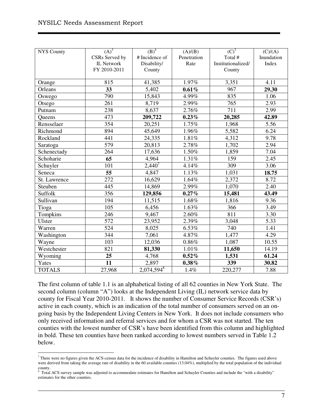| <b>NYS County</b> | $(A)^3$           | $(B)^4$        | (A)/(B)     | $(C)^5$            | (C)/(A)    |
|-------------------|-------------------|----------------|-------------|--------------------|------------|
|                   | CSRs Served by    | # Incidence of | Penetration | Total #            | Inundation |
|                   | <b>IL Network</b> | Disability/    | Rate        | Institutionalized/ | Index      |
|                   | FY 2010-2011      | County         |             | County             |            |
|                   |                   |                |             |                    |            |
| Orange            | 815               | 41,385         | 1.97%       | 3,351              | 4.11       |
| Orleans           | 33                | 5,402          | 0.61%       | 967                | 29.30      |
| Oswego            | 790               | 15,843         | 4.99%       | 835                | 1.06       |
| Otsego            | 261               | 8,719          | 2.99%       | 765                | 2.93       |
| Putnam            | 238               | 8,637          | 2.76%       | 711                | 2.99       |
| Queens            | 473               | 209,722        | 0.23%       | 20,285             | 42.89      |
| Rensselaer        | 354               | 20,251         | 1.75%       | 1,968              | 5.56       |
| Richmond          | 894               | 45,649         | 1.96%       | 5,582              | 6.24       |
| Rockland          | 441               | 24,335         | 1.81%       | 4,312              | 9.78       |
| Saratoga          | $\overline{579}$  | 20,813         | 2.78%       | 1,702              | 2.94       |
| Schenectady       | 264               | 17,636         | 1.50%       | 1,859              | 7.04       |
| Schoharie         | 65                | 4,964          | 1.31%       | 159                | 2.45       |
| Schuyler          | 101               | $2,440^{7}$    | 4.14%       | 309                | 3.06       |
| Seneca            | 55                | 4,847          | 1.13%       | 1,031              | 18.75      |
| St. Lawrence      | 272               | 16,629         | 1.64%       | 2,372              | 8.72       |
| Steuben           | 445               | 14,869         | 2.99%       | 1,070              | 2.40       |
| Suffolk           | 356               | 129,856        | 0.27%       | 15,481             | 43.49      |
| Sullivan          | 194               | 11,515         | 1.68%       | 1,816              | 9.36       |
| Tioga             | 105               | 6,456          | 1.63%       | 366                | 3.49       |
| Tompkins          | 246               | 9,467          | 2.60%       | 811                | 3.30       |
| Ulster            | 572               | 23,952         | 2.39%       | 3,048              | 5.33       |
| Warren            | $\overline{5}24$  | 8,025          | 6.53%       | 740                | 1.41       |
| Washington        | $\overline{3}44$  | 7,061          | 4.87%       | 1,477              | 4.29       |
| Wayne             | 103               | 12,036         | $0.86\%$    | 1,087              | 10.55      |
| Westchester       | 821               | 81,330         | 1.01%       | 11,650             | 14.19      |
| Wyoming           | $\overline{25}$   | 4,768          | 0.52%       | 1,531              | 61.24      |
| Yates             | 11                | 2,897          | $0.38\%$    | 339                | 30.82      |
| <b>TOTALS</b>     | 27,968            | $2,074,594^8$  | 1.4%        | 220,277            | 7.88       |

The first column of table 1.1 is an alphabetical listing of all 62 counties in New York State. The second column (column "A") looks at the Independent Living (IL) network service data by county for Fiscal Year 2010-2011. It shows the number of Consumer Service Records (CSR's) active in each county, which is an indication of the total number of consumers served on an ongoing basis by the Independent Living Centers in New York. It does not include consumers who only received information and referral services and for whom a CSR was not started. The ten counties with the lowest number of CSR's have been identified from this column and highlighted in bold. These ten counties have been ranked according to lowest numbers served in Table 1.2 below.

 $\overline{a}$  $^7$  There were no figures given the ACS-census data for the incidence of disability in Hamilton and Schuyler counties. The figures used above were derived from taking the average rate of disability in the 60 available counties (13.04%), multiplied by the total population of the individual

county. 8 Total ACS survey sample was adjusted to accommodate estimates for Hamilton and Schuyler Counties and include the "with a disability" estimates for the other counties.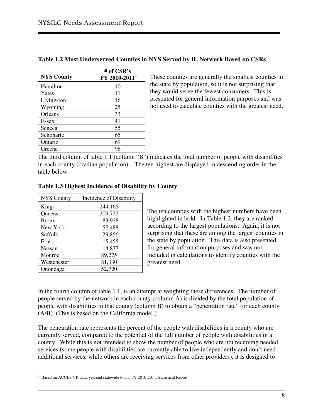| <b>NYS County</b> | # of CSR's<br>FY 2010-2011 <sup>9</sup> |
|-------------------|-----------------------------------------|
| Hamilton          | 10                                      |
| Yates             | 11                                      |
| Livingston        | 16                                      |
| Wyoming           | 25                                      |
| Orleans           | 33                                      |
| <b>Essex</b>      | 41                                      |
| Seneca            | 55                                      |
| Schoharie         | 65                                      |
| Ontario           | 69                                      |
| Greene            | 96                                      |

**Table 1.2 Most Underserved Counties in NYS Served by IL Network Based on CSRs** 

These counties are generally the smallest counties in the state by population, so it is not surprising that they would serve the fewest consumers. This is presented for general information purposes and was not used to calculate counties with the greatest need.

The third column of table 1.1 (column "B") indicates the total number of people with disabilities in each county (civilian population). The ten highest are displayed in descending order in the table below.

| <b>NYS County</b> | Incidence of Disability |
|-------------------|-------------------------|
| Kings             | 244,165                 |
| Queens            | 209,722                 |
| <b>Bronx</b>      | 183,928                 |
| New York          | 157,488                 |
| Suffolk           | 129,856                 |
| Erie              | 115,455                 |
| <b>Nassau</b>     | 114,837                 |
| Monroe            | 89,275                  |
| Westchester       | 81,330                  |
| Onondaga          | 52,720                  |

#### **Table 1.3 Highest Incidence of Disability by County**

The ten counties with the highest numbers have been highlighted in bold. In Table 1.3, they are ranked according to the largest populations. Again, it is not surprising that these are among the largest counties in the state by population. This data is also presented for general information purposes and was not included in calculations to identify counties with the greatest need.

In the fourth column of table 1.1, is an attempt at weighting these differences. The number of people served by the network in each county (column A) is divided by the total population of people with disabilities in that county (column B) to obtain a "penetration rate" for each county (A/B). (This is based on the California model.)

The penetration rate represents the percent of the people with disabilities in a county who are currently served, compared to the potential of the full number of people with disabilities in a county. While this is not intended to show the number of people who are not receiving needed services (some people with disabilities are currently able to live independently and don't need additional services, while others are receiving services from other providers), it is designed to

 $\overline{a}$ <sup>9</sup> Based on ACCES VR data, yearend statewide totals, FY 2010-2011, Statistical Report.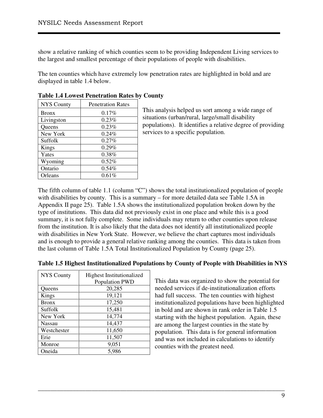show a relative ranking of which counties seem to be providing Independent Living services to the largest and smallest percentage of their populations of people with disabilities.

The ten counties which have extremely low penetration rates are highlighted in bold and are displayed in table 1.4 below.

| <b>NYS County</b> | <b>Penetration Rates</b> |
|-------------------|--------------------------|
| <b>Bronx</b>      | $0.17\%$                 |
| Livingston        | 0.23%                    |
| Queens            | $0.23\%$                 |
| New York          | 0.24%                    |
| Suffolk           | 0.27%                    |
| Kings             | 0.29%                    |
| Yates             | 0.38%                    |
| Wyoming           | $0.52\%$                 |
| Ontario           | $0.54\%$                 |
| Orleans           | 0.61%                    |

#### **Table 1.4 Lowest Penetration Rates by County**

This analysis helped us sort among a wide range of situations (urban/rural, large/small disability populations). It identifies a relative degree of providing services to a specific population.

The fifth column of table 1.1 (column "C") shows the total institutionalized population of people with disabilities by county. This is a summary – for more detailed data see Table 1.5A in Appendix II page 25). Table 1.5A shows the institutionalized population broken down by the type of institutions. This data did not previously exist in one place and while this is a good summary, it is not fully complete. Some individuals may return to other counties upon release from the institution. It is also likely that the data does not identify all institutionalized people with disabilities in New York State. However, we believe the chart captures most individuals and is enough to provide a general relative ranking among the counties. This data is taken from the last column of Table 1.5A Total Institutionalized Population by County (page 25).

| <b>NYS County</b> | <b>Highest Institutionalized</b><br>Population PWD |
|-------------------|----------------------------------------------------|
| Queens            | 20,285                                             |
| Kings             | 19,121                                             |
| <b>Bronx</b>      | 17,250                                             |
| Suffolk           | 15,481                                             |
| New York          | 14,774                                             |
| <b>Nassau</b>     | 14,437                                             |
| Westchester       | 11,650                                             |
| Erie              | 11,507                                             |
| Monroe            | 9,051                                              |
| Oneida            | 5,986                                              |

#### **Table 1.5 Highest Institutionalized Populations by County of People with Disabilities in NYS**

\_\_\_\_\_\_\_\_\_\_\_\_\_\_\_\_\_\_\_\_\_\_\_\_\_\_\_\_\_\_\_\_\_\_\_\_\_\_\_\_\_\_\_\_\_\_\_\_\_\_\_\_\_\_\_\_\_\_\_\_\_\_\_\_\_\_\_\_\_\_\_\_\_\_\_\_\_\_

This data was organized to show the potential for needed services if de-institutionalization efforts had full success. The ten counties with highest institutionalized populations have been highlighted in bold and are shown in rank order in Table 1.5 starting with the highest population. Again, these are among the largest counties in the state by population. This data is for general information and was not included in calculations to identify counties with the greatest need.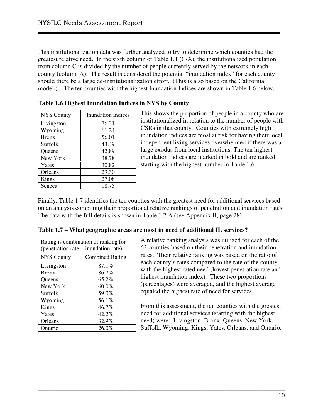This institutionalization data was further analyzed to try to determine which counties had the greatest relative need. In the sixth column of Table 1.1 (C/A), the institutionalized population from column C is divided by the number of people currently served by the network in each county (column A). The result is considered the potential "inundation index" for each county should there be a large de-institutionalization effort. (This is also based on the California model.) The ten counties with the highest Inundation Indices are shown in Table 1.6 below.

| <b>NYS County</b> | <b>Inundation Indices</b> |
|-------------------|---------------------------|
| Livingston        | 76.31                     |
| Wyoming           | 61.24                     |
| <b>Bronx</b>      | 56.01                     |
| Suffolk           | 43.49                     |
| Queens            | 42.89                     |
| New York          | 38.78                     |
| Yates             | 30.82                     |
| Orleans           | 29.30                     |
| Kings             | 27.08                     |
| Seneca            | 18.75                     |

|  | Table 1.6 Highest Inundation Indices in NYS by County |  |  |
|--|-------------------------------------------------------|--|--|
|  |                                                       |  |  |

This shows the proportion of people in a county who are institutionalized in relation to the number of people with CSRs in that county. Counties with extremely high inundation indices are most at risk for having their local independent living services overwhelmed if there was a large exodus from local institutions. The ten highest inundation indices are marked in bold and are ranked starting with the highest number in Table 1.6.

Finally, Table 1.7 identifies the ten counties with the greatest need for additional services based on an analysis combining their proportional relative rankings of penetration and inundation rates. The data with the full details is shown in Table 1.7 A (see Appendix II, page 28).

\_\_\_\_\_\_\_\_\_\_\_\_\_\_\_\_\_\_\_\_\_\_\_\_\_\_\_\_\_\_\_\_\_\_\_\_\_\_\_\_\_\_\_\_\_\_\_\_\_\_\_\_\_\_\_\_\_\_\_\_\_\_\_\_\_\_\_\_\_\_\_\_\_\_\_\_\_\_

|                   | Rating is combination of ranking for<br>(penetration rate + inundation rate) |
|-------------------|------------------------------------------------------------------------------|
| <b>NYS County</b> | <b>Combined Rating</b>                                                       |
| Livingston        | 87.1%                                                                        |
| <b>Bronx</b>      | 86.7%                                                                        |
| Queens            | 65.2%                                                                        |
| New York          | $60.0\%$                                                                     |
| Suffolk           | 59.0%                                                                        |
| Wyoming           | 56.1%                                                                        |
| Kings             | 46.7%                                                                        |
| Yates             | $42.2\%$                                                                     |
| Orleans           | 32.9%                                                                        |
| Ontario           | 26.0%                                                                        |

| Table 1.7 – What geographic areas are most in need of additional IL services? |
|-------------------------------------------------------------------------------|
|-------------------------------------------------------------------------------|

A relative ranking analysis was utilized for each of the 62 counties based on their penetration and inundation rates. Their relative ranking was based on the ratio of each county's rates compared to the rate of the county with the highest rated need (lowest penetration rate and highest inundation index). These two proportions (percentages) were averaged, and the highest average equaled the highest rate of need for services.

From this assessment, the ten counties with the greatest need for additional services (starting with the highest need) were: Livingston, Bronx, Queens, New York, Suffolk, Wyoming, Kings, Yates, Orleans, and Ontario.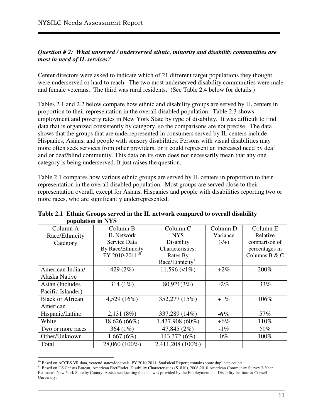#### *Question # 2: What unserved / underserved ethnic, minority and disability communities are most in need of IL services?*

Center directors were asked to indicate which of 21 different target populations they thought were underserved or hard to reach. The two most underserved disability communities were male and female veterans. The third was rural residents. (See Table 2.4 below for details.)

Tables 2.1 and 2.2 below compare how ethnic and disability groups are served by IL centers in proportion to their representation in the overall disabled population. Table 2.3 shows employment and poverty rates in New York State by type of disability. It was difficult to find data that is organized consistently by category, so the comparisons are not precise. The data shows that the groups that are underrepresented in consumers served by IL centers include Hispanics, Asians, and people with sensory disabilities. Persons with visual disabilities may more often seek services from other providers, or it could represent an increased need by deaf and or deaf/blind community. This data on its own does not necessarily mean that any one category is being underserved. It just raises the question.

Table 2.1 compares how various ethnic groups are served by IL centers in proportion to their representation in the overall disabled population. Most groups are served close to their representation overall, except for Asians, Hispanics and people with disabilities reporting two or more races, who are significantly underrepresented.

| $\mu$ UVULALIVII III IN L $\mu$ |                                        |                     |          |                |  |  |  |  |
|---------------------------------|----------------------------------------|---------------------|----------|----------------|--|--|--|--|
| Column A                        | Column B                               | Column <sub>C</sub> | Column D | Column E       |  |  |  |  |
| Race/Ethnicity                  | <b>IL Network</b>                      | <b>NYS</b>          | Variance | Relative       |  |  |  |  |
| Category                        | Service Data                           | Disability          | $(-/+)$  | comparison of  |  |  |  |  |
|                                 | By Race/Ethnicity                      | Characteristics:    |          | percentages in |  |  |  |  |
|                                 | $\rm \dot{F}Y$ 2010-2011 <sup>10</sup> | Rates By            |          | Columns B & C  |  |  |  |  |
|                                 |                                        | Race/Ethnicity $11$ |          |                |  |  |  |  |
| American Indian/                | 429 (2%)                               | $11,596 (< 1\%)$    | $+2\%$   | 200%           |  |  |  |  |
| Alaska Native                   |                                        |                     |          |                |  |  |  |  |
| Asian (Includes                 | 314 $(1%)$                             | 80,921(3%)          | $-2\%$   | 33%            |  |  |  |  |
| Pacific Islander)               |                                        |                     |          |                |  |  |  |  |
| <b>Black or African</b>         | 4,529 (16%)                            | 352,277 (15%)       | $+1\%$   | 106%           |  |  |  |  |
| American                        |                                        |                     |          |                |  |  |  |  |
| Hispanic/Latino                 | 2,131(8%)                              | 337,289 (14%)       | $-6\%$   | 57%            |  |  |  |  |
| White                           | 18,626 (66%)                           | 1,437,908 (60%)     | $+6\%$   | 110%           |  |  |  |  |
| Two or more races               | 364 $(1%)$                             | 47,845 (2%)         | $-1\%$   | 50%            |  |  |  |  |
| Other/Unknown                   | 1,667(6%)                              | 143,372 (6%)        | $0\%$    | 100%           |  |  |  |  |
| Total                           | 28,060 (100%)                          | 2,411,208 (100%)    |          |                |  |  |  |  |

**Table 2.1 Ethnic Groups served in the IL network compared to overall disability population in NYS** 

 $\overline{a}$ <sup>10</sup> Based on ACCES VR data, yearend statewide totals, FY 2010-2011, Statistical Report; contains some duplicate counts.

<sup>&</sup>lt;sup>11</sup> Based on US Census Bureau, American FactFinder, Disability Characteristics (S1810), 2008-2010 American Community Survey 3-Year Estimates, New York State by County. Assistance locating the data was provided by the Employment and Disability Institute at Cornell University.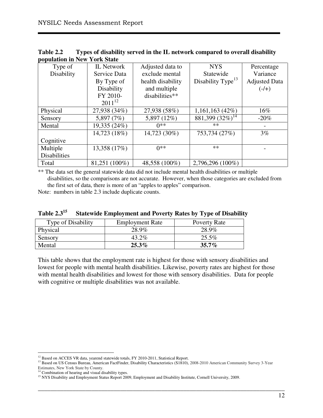| Population in Fiest Torn Draw |                   |                   |                               |                      |
|-------------------------------|-------------------|-------------------|-------------------------------|----------------------|
| Type of                       | <b>IL Network</b> | Adjusted data to  | <b>NYS</b>                    | Percentage           |
| Disability                    | Service Data      | exclude mental    | Statewide                     | Variance             |
|                               | By Type of        | health disability | Disability Type <sup>13</sup> | <b>Adjusted Data</b> |
|                               | Disability        | and multiple      |                               | $(-/+)$              |
|                               | FY 2010-          | disabilities**    |                               |                      |
|                               | $2011^{12}$       |                   |                               |                      |
| Physical                      | 27,938 (34%)      | 27,938 (58%)      | 1,161,163(42%)                | 16%                  |
| Sensory                       | 5,897 (7%)        | 5,897 (12%)       | $881,399(32\%)$ <sup>14</sup> | $-20%$               |
| Mental                        | 19,335 (24%)      | $0**$             | **                            |                      |
|                               | 14,723 (18%)      | 14,723 (30%)      | 753,734 (27%)                 | 3%                   |
| Cognitive                     |                   |                   |                               |                      |
| Multiple                      | 13,358 (17%)      | $0**$             | **                            |                      |
| <b>Disabilities</b>           |                   |                   |                               |                      |
| Total                         | 81,251 (100%)     | 48,558 (100%)     | 2,796,296 (100%)              |                      |

**Table 2.2 Types of disability served in the IL network compared to overall disability population in New York State** 

\*\* The data set the general statewide data did not include mental health disabilities or multiple disabilities, so the comparisons are not accurate. However, when those categories are excluded from the first set of data, there is more of an "apples to apples" comparison.

Note: numbers in table 2.3 include duplicate counts.

| <b>Type of Disability</b> | <b>Employment Rate</b> | Poverty Rate |
|---------------------------|------------------------|--------------|
| Physical                  | 28.9%                  | 28.9%        |
| Sensory                   | $43.2\%$               | 25.5%        |
| Mental                    | $25.3\%$               | $35.7\%$     |

**Table 2.3<sup>15</sup> Statewide Employment and Poverty Rates by Type of Disability** 

This table shows that the employment rate is highest for those with sensory disabilities and lowest for people with mental health disabilities. Likewise, poverty rates are highest for those with mental health disabilities and lowest for those with sensory disabilities. Data for people with cognitive or multiple disabilities was not available.

 $\overline{a}$ <sup>12</sup> Based on ACCES VR data, yearend statewide totals, FY 2010-2011, Statistical Report.

<sup>&</sup>lt;sup>13</sup> Based on US Census Bureau, American FactFinder, Disability Characteristics (S1810), 2008-2010 American Community Survey 3-Year

Estimates, New York State by County.

<sup>&</sup>lt;sup>14</sup> Combination of hearing and visual disability types.

<sup>&</sup>lt;sup>15</sup> NYS Disability and Employment Status Report 2009, Employment and Disability Institute, Cornell University, 2009.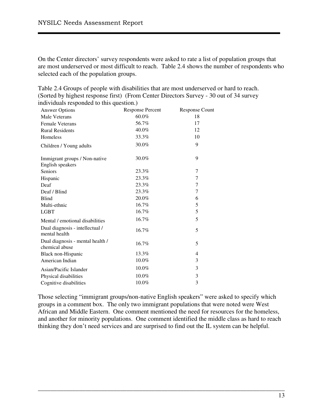On the Center directors' survey respondents were asked to rate a list of population groups that are most underserved or most difficult to reach. Table 2.4 shows the number of respondents who selected each of the population groups.

Table 2.4 Groups of people with disabilities that are most underserved or hard to reach. (Sorted by highest response first) (From Center Directors Survey - 30 out of 34 survey individuals responded to this question.)

| <b>Answer Options</b>                              | <b>Response Percent</b> | Response Count |
|----------------------------------------------------|-------------------------|----------------|
| <b>Male Veterans</b>                               | $60.0\%$                | 18             |
| <b>Female Veterans</b>                             | 56.7%                   | 17             |
| <b>Rural Residents</b>                             | 40.0%                   | 12             |
| <b>Homeless</b>                                    | 33.3%                   | 10             |
| Children / Young adults                            | 30.0%                   | 9              |
| Immigrant groups / Non-native<br>English speakers  | 30.0%                   | 9              |
| <b>Seniors</b>                                     | 23.3%                   | 7              |
| Hispanic                                           | 23.3%                   | 7              |
| Deaf                                               | 23.3%                   | 7              |
| Deaf / Blind                                       | 23.3%                   | 7              |
| <b>Blind</b>                                       | 20.0%                   | 6              |
| Multi-ethnic                                       | 16.7%                   | 5              |
| <b>LGBT</b>                                        | 16.7%                   | 5              |
| Mental / emotional disabilities                    | 16.7%                   | 5              |
| Dual diagnosis - intellectual /<br>mental health   | 16.7%                   | 5              |
| Dual diagnosis - mental health /<br>chemical abuse | 16.7%                   | 5              |
| Black non-Hispanic                                 | 13.3%                   | 4              |
| American Indian                                    | 10.0%                   | 3              |
| Asian/Pacific Islander                             | 10.0%                   | 3              |
| Physical disabilities                              | 10.0%                   | 3              |
| Cognitive disabilities                             | 10.0%                   | 3              |

Those selecting "immigrant groups/non-native English speakers" were asked to specify which groups in a comment box. The only two immigrant populations that were noted were West African and Middle Eastern. One comment mentioned the need for resources for the homeless, and another for minority populations. One comment identified the middle class as hard to reach thinking they don't need services and are surprised to find out the IL system can be helpful.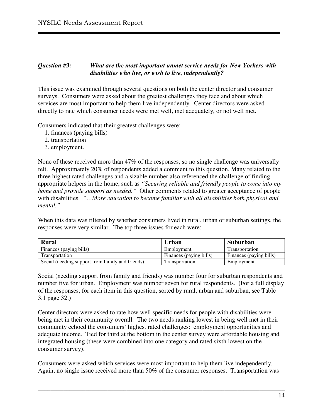#### *Question #3: What are the most important unmet service needs for New Yorkers with disabilities who live, or wish to live, independently?*

This issue was examined through several questions on both the center director and consumer surveys. Consumers were asked about the greatest challenges they face and about which services are most important to help them live independently. Center directors were asked directly to rate which consumer needs were met well, met adequately, or not well met.

Consumers indicated that their greatest challenges were:

- 1. finances (paying bills)
- 2. transportation
- 3. employment.

None of these received more than 47% of the responses, so no single challenge was universally felt. Approximately 20% of respondents added a comment to this question. Many related to the three highest rated challenges and a sizable number also referenced the challenge of finding appropriate helpers in the home, such as *"Securing reliable and friendly people to come into my home and provide support as needed."* Other comments related to greater acceptance of people with disabilities. *"…More education to become familiar with all disabilities both physical and mental."* 

When this data was filtered by whether consumers lived in rural, urban or suburban settings, the responses were very similar. The top three issues for each were:

| <b>Rural</b>                                     | Urban                   | Suburban                |
|--------------------------------------------------|-------------------------|-------------------------|
| Finances (paying bills)                          | Employment              | Transportation          |
| Transportation                                   | Finances (paying bills) | Finances (paying bills) |
| Social (needing support from family and friends) | Transportation          | Employment              |

Social (needing support from family and friends) was number four for suburban respondents and number five for urban. Employment was number seven for rural respondents. (For a full display of the responses, for each item in this question, sorted by rural, urban and suburban, see Table 3.1 page 32.)

Center directors were asked to rate how well specific needs for people with disabilities were being met in their community overall. The two needs ranking lowest in being well met in their community echoed the consumers' highest rated challenges: employment opportunities and adequate income. Tied for third at the bottom in the center survey were affordable housing and integrated housing (these were combined into one category and rated sixth lowest on the consumer survey).

Consumers were asked which services were most important to help them live independently. Again, no single issue received more than 50% of the consumer responses. Transportation was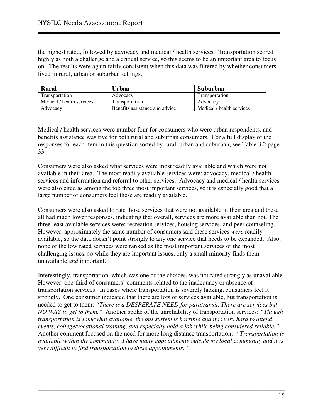the highest rated, followed by advocacy and medical / health services. Transportation scored highly as both a challenge and a critical service, so this seems to be an important area to focus on. The results were again fairly consistent when this data was filtered by whether consumers lived in rural, urban or suburban settings.

| Rural                     | Urban                          | Suburban                  |
|---------------------------|--------------------------------|---------------------------|
| Transportation            | Advocacy                       | Transportation            |
| Medical / health services | Transportation                 | Advocacy                  |
| Advocacy                  | Benefits assistance and advice | Medical / health services |

Medical / health services were number four for consumers who were urban respondents, and benefits assistance was five for both rural and suburban consumers. For a full display of the responses for each item in this question sorted by rural, urban and suburban, see Table 3.2 page 33.

Consumers were also asked what services were most readily available and which were not available in their area. The most readily available services were: advocacy, medical / health services and information and referral to other services. Advocacy and medical / health services were also cited as among the top three most important services, so it is especially good that a large number of consumers feel these are readily available.

Consumers were also asked to rate those services that were not available in their area and these all had much lower responses, indicating that overall, services are more available than not. The three least available services were: recreation services, housing services, and peer counseling. However, approximately the same number of consumers said these services *were* readily available, so the data doesn't point strongly to any one service that needs to be expanded. Also, none of the low rated services were ranked as the most important services or the most challenging issues, so while they are important issues, only a small minority finds them unavailable *and* important.

Interestingly, transportation, which was one of the choices, was not rated strongly as unavailable. However, one-third of consumers' comments related to the inadequacy or absence of transportation services. In cases where transportation is severely lacking, consumers feel it strongly. One consumer indicated that there are lots of services available, but transportation is needed to get to them: *"There is a DESPERATE NEED for paratransit. There are services but NO WAY to get to them."* Another spoke of the unreliability of transportation services: *"Though transportation is somewhat available, the bus system is horrible and it is very hard to attend events, college/vocational training, and especially hold a job while being considered reliable."* Another comment focused on the need for more long distance transportation: *"Transportation is available within the community. I have many appointments outside my local community and it is very difficult to find transportation to these appointments."*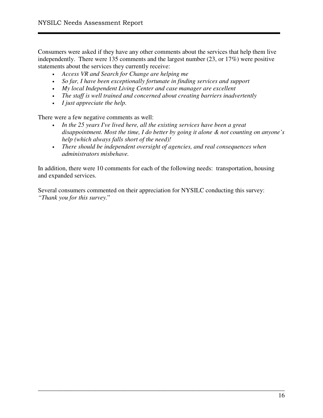Consumers were asked if they have any other comments about the services that help them live independently. There were 135 comments and the largest number (23, or 17%) were positive statements about the services they currently receive:

- *Access VR and Search for Change are helping me*
- *So far, I have been exceptionally fortunate in finding services and support*
- *My local Independent Living Center and case manager are excellent*
- *The staff is well trained and concerned about creating barriers inadvertently*
- *I just appreciate the help.*

There were a few negative comments as well:

- *In the 25 years I've lived here, all the existing services have been a great disappointment. Most the time, I do better by going it alone & not counting on anyone's help (which always falls short of the need)!*
- *There should be independent oversight of agencies, and real consequences when administrators misbehave.*

In addition, there were 10 comments for each of the following needs: transportation, housing and expanded services.

\_\_\_\_\_\_\_\_\_\_\_\_\_\_\_\_\_\_\_\_\_\_\_\_\_\_\_\_\_\_\_\_\_\_\_\_\_\_\_\_\_\_\_\_\_\_\_\_\_\_\_\_\_\_\_\_\_\_\_\_\_\_\_\_\_\_\_\_\_\_\_\_\_\_\_\_\_\_

Several consumers commented on their appreciation for NYSILC conducting this survey: *"Thank you for this survey.*"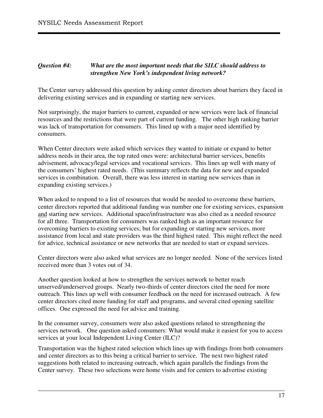#### *Question #4: What are the most important needs that the SILC should address to strengthen New York's independent living network?*

The Center survey addressed this question by asking center directors about barriers they faced in delivering existing services and in expanding or starting new services.

Not surprisingly, the major barriers to current, expanded or new services were lack of financial resources and the restrictions that were part of current funding. The other high ranking barrier was lack of transportation for consumers. This lined up with a major need identified by consumers.

When Center directors were asked which services they wanted to initiate or expand to better address needs in their area, the top rated ones were: architectural barrier services, benefits advisement, advocacy/legal services and vocational services. This lines up well with many of the consumers' highest rated needs. (This summary reflects the data for new and expanded services in combination. Overall, there was less interest in starting new services than in expanding existing services.)

When asked to respond to a list of resources that would be needed to overcome these barriers, center directors reported that additional funding was number one for existing services, expansion and starting new services. Additional space/infrastructure was also cited as a needed resource for all three. Transportation for consumers was ranked high as an important resource for overcoming barriers to existing services; but for expanding or starting new services, more assistance from local and state providers was the third highest rated. This might reflect the need for advice, technical assistance or new networks that are needed to start or expand services.

Center directors were also asked what services are no longer needed. None of the services listed received more than 3 votes out of 34.

Another question looked at how to strengthen the services network to better reach unserved/underserved groups. Nearly two-thirds of center directors cited the need for more outreach. This lines up well with consumer feedback on the need for increased outreach. A few center directors cited more funding for staff and programs, and several cited opening satellite offices. One expressed the need for advice and training.

In the consumer survey, consumers were also asked questions related to strengthening the services network. One question asked consumers: What would make it easiest for you to access services at your local Independent Living Center (ILC)?

Transportation was the highest rated selection which lines up with findings from both consumers and center directors as to this being a critical barrier to service. The next two highest rated suggestions both related to increasing outreach, which again parallels the findings from the Center survey. These two selections were home visits and for centers to advertise existing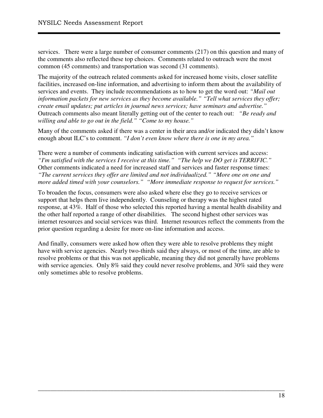services. There were a large number of consumer comments (217) on this question and many of the comments also reflected these top choices. Comments related to outreach were the most common (45 comments) and transportation was second (31 comments).

The majority of the outreach related comments asked for increased home visits, closer satellite facilities, increased on-line information, and advertising to inform them about the availability of services and events. They include recommendations as to how to get the word out: *"Mail out information packets for new services as they become available." "Tell what services they offer; create email updates; put articles in journal news services; have seminars and advertise."*  Outreach comments also meant literally getting out of the center to reach out: *"Be ready and willing and able to go out in the field." "Come to my house."* 

Many of the comments asked if there was a center in their area and/or indicated they didn't know enough about ILC's to comment. *"I don't even know where there is one in my area."* 

There were a number of comments indicating satisfaction with current services and access: *"I'm satisfied with the services I receive at this time." "The help we DO get is TERRIFIC."* Other comments indicated a need for increased staff and services and faster response times: *"The current services they offer are limited and not individualized." "More one on one and more added timed with your counselors." "More immediate response to request for services."* 

To broaden the focus, consumers were also asked where else they go to receive services or support that helps them live independently. Counseling or therapy was the highest rated response, at 43%. Half of those who selected this reported having a mental health disability and the other half reported a range of other disabilities. The second highest other services was internet resources and social services was third. Internet resources reflect the comments from the prior question regarding a desire for more on-line information and access.

And finally, consumers were asked how often they were able to resolve problems they might have with service agencies. Nearly two-thirds said they always, or most of the time, are able to resolve problems or that this was not applicable, meaning they did not generally have problems with service agencies. Only 8% said they could never resolve problems, and 30% said they were only sometimes able to resolve problems.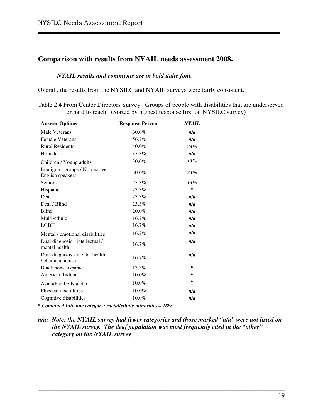## **Comparison with results from NYAIL needs assessment 2008.**

#### *NYAIL results and comments are in bold italic font.*

Overall, the results from the NYSILC and NYAIL surveys were fairly consistent.

Table 2.4 From Center Directors Survey: Groups of people with disabilities that are underserved or hard to reach. (Sorted by highest response first on NYSILC survey)

| <b>Answer Options</b>                              | <b>Response Percent</b> | <b>NYAIL</b> |
|----------------------------------------------------|-------------------------|--------------|
| Male Veterans                                      | 60.0%                   | n/a          |
| <b>Female Veterans</b>                             | 56.7%                   | n/a          |
| <b>Rural Residents</b>                             | 40.0%                   | 24%          |
| Homeless                                           | 33.3%                   | n/a          |
| Children / Young adults                            | 30.0%                   | 13%          |
| Immigrant groups / Non-native<br>English speakers  | 30.0%                   | 24%          |
| <b>Seniors</b>                                     | 23.3%                   | 13%          |
| Hispanic                                           | 23.3%                   | ∗            |
| Deaf                                               | 23.3%                   | n/a          |
| Deaf / Blind                                       | 23.3%                   | n/a          |
| <b>Blind</b>                                       | 20.0%                   | n/a          |
| Multi-ethnic                                       | 16.7%                   | n/a          |
| <b>LGBT</b>                                        | 16.7%                   | n/a          |
| Mental / emotional disabilities                    | 16.7%                   | n/a          |
| Dual diagnosis - intellectual /<br>mental health   | 16.7%                   | n/a          |
| Dual diagnosis - mental health<br>/ chemical abuse | 16.7%                   | n/a          |
| Black non-Hispanic                                 | 13.3%                   | $\ast$       |
| American Indian                                    | 10.0%                   | $\ast$       |
| Asian/Pacific Islander                             | 10.0%                   | $\ast$       |
| Physical disabilities                              | 10.0%                   | n/a          |
| Cognitive disabilities                             | 10.0%                   | n/a          |

*\* Combined Into one category: racial/ethnic minorities – 18%* 

*n/a: Note: the NYAIL survey had fewer categories and those marked "n/a" were not listed on the NYAIL survey. The deaf population was most frequently cited in the "other" category on the NYAIL survey*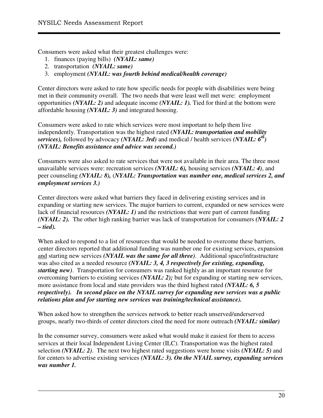Consumers were asked what their greatest challenges were:

- 1. finances (paying bills) *(NYAIL: same)*
- 2. transportation *(NYAIL: same)*
- 3. employment *(NYAIL: was fourth behind medical/health coverage)*

Center directors were asked to rate how specific needs for people with disabilities were being met in their community overall. The two needs that were least well met were: employment opportunities *(NYAIL: 2)* and adequate income *(NYAIL: 1).* Tied for third at the bottom were affordable housing *(NYAIL: 3)* and integrated housing.

Consumers were asked to rate which services were most important to help them live independently. Transportation was the highest rated *(NYAIL: transportation and mobility services),* followed by advocacy *(NYAIL: 3rd)* and medical / health services *(NYAIL: 6th) (NYAIL: Benefits assistance and advice was second.)* 

Consumers were also asked to rate services that were not available in their area. The three most unavailable services were: recreation services *(NYAIL: 6),* housing services *(NYAIL: 4)*, and peer counseling *(NYAIL: 8),* (*NYAIL: Transportation was number one, medical services 2, and employment services 3.)* 

Center directors were asked what barriers they faced in delivering existing services and in expanding or starting new services. The major barriers to current, expanded or new services were lack of financial resources *(NYAIL: 1)* and the restrictions that were part of current funding *(NYAIL: 2).* The other high ranking barrier was lack of transportation for consumers *(NYAIL: 2 – tied).*

When asked to respond to a list of resources that would be needed to overcome these barriers, center directors reported that additional funding was number one for existing services, expansion and starting new services *(NYAIL was the same for all three)*. Additional space/infrastructure was also cited as a needed resource *(NYAIL: 3, 4, 3 respectively for existing, expanding, starting new)*. Transportation for consumers was ranked highly as an important resource for overcoming barriers to existing services *(NYAIL: 2);* but for expanding or starting new services, more assistance from local and state providers was the third highest rated *(NYAIL: 6, 5 respectively). In second place on the NYAIL survey for expanding new services was a public relations plan and for starting new services was training/technical assistance).* 

When asked how to strengthen the services network to better reach unserved/underserved groups, nearly two-thirds of center directors cited the need for more outreach *(NYAIL: similar)* 

In the consumer survey, consumers were asked what would make it easiest for them to access services at their local Independent Living Center (ILC). Transportation was the highest rated selection *(NYAIL: 2)*. The next two highest rated suggestions were home visits *(NYAIL: 5)* and for centers to advertise existing services *(NYAIL: 3). On the NYAIL survey, expanding services was number 1.*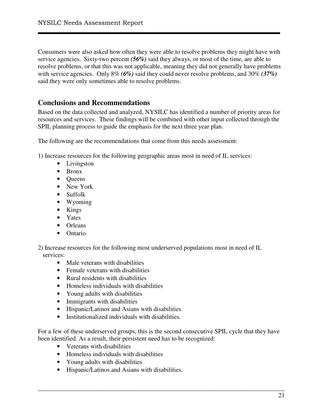Consumers were also asked how often they were able to resolve problems they might have with service agencies. Sixty-two percent *(56%)* said they always, or most of the time, are able to resolve problems, or that this was not applicable, meaning they did not generally have problems with service agencies. Only 8% *(6%)* said they could never resolve problems, and 30% *(37%)* said they were only sometimes able to resolve problems.

## **Conclusions and Recommendations**

Based on the data collected and analyzed, NYSILC has identified a number of priority areas for resources and services. These findings will be combined with other input collected through the SPIL planning process to guide the emphasis for the next three year plan.

The following are the recommendations that come from this needs assessment:

1) Increase resources for the following geographic areas most in need of IL services:

- Livingston
- Bronx
- Queens
- New York
- Suffolk
- Wyoming
- Kings
- Yates
- Orleans
- Ontario.

2) Increase resources for the following most underserved populations most in need of IL services:

- Male veterans with disabilities
- Female veterans with disabilities
- Rural residents with disabilities
- Homeless individuals with disabilities
- Young adults with disabilities
- Immigrants with disabilities
- Hispanic/Latinos and Asians with disabilities
- Institutionalized individuals with disabilities.

For a few of these underserved groups, this is the second consecutive SPIL cycle that they have been identified. As a result, their persistent need has to be recognized:

- Veterans with disabilities
- Homeless individuals with disabilities
- Young adults with disabilities
- Hispanic/Latinos and Asians with disabilities.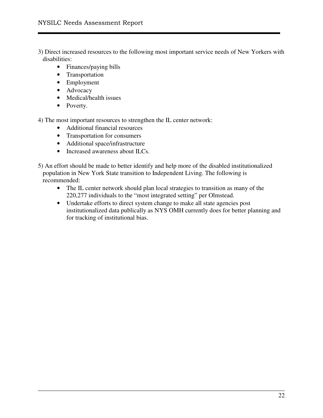3) Direct increased resources to the following most important service needs of New Yorkers with disabilities:

- Finances/paying bills
- Transportation
- Employment
- Advocacy
- Medical/health issues
- Poverty.

4) The most important resources to strengthen the IL center network:

- Additional financial resources
- Transportation for consumers
- Additional space/infrastructure
- Increased awareness about ILCs.

5) An effort should be made to better identify and help more of the disabled institutionalized population in New York State transition to Independent Living. The following is recommended:

• The IL center network should plan local strategies to transition as many of the 220,277 individuals to the "most integrated setting" per Olmstead.

\_\_\_\_\_\_\_\_\_\_\_\_\_\_\_\_\_\_\_\_\_\_\_\_\_\_\_\_\_\_\_\_\_\_\_\_\_\_\_\_\_\_\_\_\_\_\_\_\_\_\_\_\_\_\_\_\_\_\_\_\_\_\_\_\_\_\_\_\_\_\_\_\_\_\_\_\_\_

• Undertake efforts to direct system change to make all state agencies post institutionalized data publically as NYS OMH currently does for better planning and for tracking of institutional bias.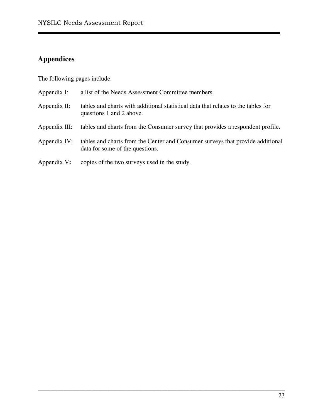## **Appendices**

The following pages include:

| Appendix I:     | a list of the Needs Assessment Committee members.                                                                 |
|-----------------|-------------------------------------------------------------------------------------------------------------------|
| Appendix $II$ : | tables and charts with additional statistical data that relates to the tables for<br>questions 1 and 2 above.     |
| Appendix III:   | tables and charts from the Consumer survey that provides a respondent profile.                                    |
| Appendix IV:    | tables and charts from the Center and Consumer surveys that provide additional<br>data for some of the questions. |
| Appendix V:     | copies of the two surveys used in the study.                                                                      |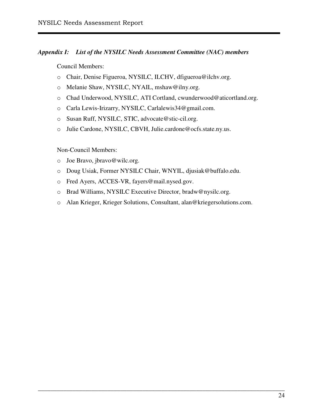#### *Appendix I: List of the NYSILC Needs Assessment Committee (NAC) members*

Council Members:

- o Chair, Denise Figueroa, NYSILC, ILCHV, dfigueroa@ilchv.org.
- o Melanie Shaw, NYSILC, NYAIL, mshaw@ilny.org.
- o Chad Underwood, NYSILC, ATI Cortland, cwunderwood@aticortland.org.
- o Carla Lewis-Irizarry, NYSILC, Carlalewis34@gmail.com.
- o Susan Ruff, NYSILC, STIC, advocate@stic-cil.org.
- o Julie Cardone, NYSILC, CBVH, Julie.cardone@ocfs.state.ny.us.

#### Non-Council Members:

- o Joe Bravo, jbravo@wilc.org.
- o Doug Usiak, Former NYSILC Chair, WNYIL, djusiak@buffalo.edu.
- o Fred Ayers, ACCES-VR, fayers@mail.nysed.gov.
- o Brad Williams, NYSILC Executive Director, bradw@nysilc.org.
- o Alan Krieger, Krieger Solutions, Consultant, alan@kriegersolutions.com.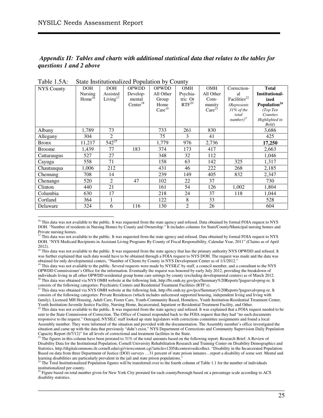$\overline{a}$ 

#### *Appendix II: Tables and charts with additional statistical data that relates to the tables for questions 1 and 2 above*

| <b>NYS County</b> | <b>DOH</b>  | <b>DOH</b>  | <b>OPWDD</b>         | <b>OPWDD</b>       | OMH        | OMH                | Correction-              | <b>Total</b>             |
|-------------------|-------------|-------------|----------------------|--------------------|------------|--------------------|--------------------------|--------------------------|
|                   | Nursing     | Assisted    | Develop-             | All Other          | Psychia-   | All Other          | al                       | <b>Institutional-</b>    |
|                   | $Home^{16}$ | Living $17$ | mental               | Group              | tric Or    | Com-               | Facilities <sup>22</sup> | ized                     |
|                   |             |             | Center <sup>18</sup> | Home               | $RTF^{20}$ | munity             | <i>(Represents</i>       | Population <sup>24</sup> |
|                   |             |             |                      | Care <sup>19</sup> |            | Care <sup>21</sup> | $31\%$ of the            | (Top Ten                 |
|                   |             |             |                      |                    |            |                    | total                    | Counties                 |
|                   |             |             |                      |                    |            |                    | $number)^{23}$           | Highlighted in<br>Bold)  |
| Albany            | 1,789       | 73          |                      | 733                | 261        | 830                |                          | 3,686                    |
| Allegany          | 304         | 2           |                      | 75                 | 3          | 41                 |                          | 425                      |
| <b>Bronx</b>      | 11,217      | $542^{25}$  |                      | 1,779              | 976        | 2,736              |                          | 17,250                   |
| <b>Broome</b>     | 1,439       | 77          | 183                  | 374                | 173        | 417                |                          | 2,663                    |
| Cattaraugus       | 527         | 27          |                      | 348                | 32         | 112                |                          | 1,046                    |
| Cayuga            | 558         | 71          |                      | 158                | 63         | 142                | 325                      | 1,317                    |
| Chautauqua        | 1,006       | 212         |                      | 431                | 46         | 222                | 268                      | 2,185                    |
| Chemung           | 708         | 14          |                      | 239                | 149        | 405                | 832                      | 2,347                    |
| Chenango          | 520         | 2           | 47                   | 102                | 22         | 37                 |                          | 730                      |
| Clinton           | 440         | 21          |                      | 161                | 54         | 126                | 1.002                    | 1,804                    |
| Columbia          | 630         | 17          |                      | 218                | 24         | 37                 | 118                      | 1,044                    |
| Cortland          | 364         | 1           |                      | 122                | 8          | 33                 |                          | 528                      |
| Delaware          | 324         | 6           | 116                  | 130                | 2          | 26                 |                          | 604                      |

Table 1.5A: State Institutionalized Population by County

<sup>16</sup> This data was not available to the public. It was requested from the state agency and refused. Data obtained by formal FOIA request to NYS DOH. "Number of residents in Nursing Homes by County and Ownership." It includes columns for State/County/Municipal nursing homes and Private nursing homes.

<sup>18</sup> This data was not available to the public. It was requested from the state agency that has the primary authority NYS OPWDD and refused. It was further explained that such data would have to be obtained through a FOIA request to NYS DOH. The request was made and the data was obtained for only developmental centers, "Number of Clients by County in NYS Development Center as of 1/1/2012."

<sup>19</sup> This data was not available to the public. Several requests were made by NYSILC by staff, a council member, and a consultant to the NYS OPWDD Commissioner's Office for the information. Eventually the request was honored by early July 2012, providing the breakdown of individuals living in all other OPWDD residential group home care settings by county (excluding developmental centers) as of March 2012. <sup>20</sup> This data was obtained via NYS OMH website at the following link, http://bi.omh.ny.gov/pcs/Summary%20Reports?pageeval=prog-re. It

consists of the following categories: Psychiatric Centers and Residential Treatment Facilities (RTF's).

<sup>21</sup> This data was obtained via NYS OMH website at the following link, http://bi.omh.ny.gov/pcs/Summary%20Reports?pageeval=prog-re. It consists of the following categories: Private Residences (which includes unlicensed supported housing, independent living and living with family), Licensed MH Housing, Adult Care, Foster Care, Youth-Community Based, Homeless, Youth Institution-Residential Treatment Center, Youth Institution-Juvenile Justice Facility, Nursing Home, Incarcerated, Inpatient or Residential Treatment Facility, and Other.

 $^{22}$  This data was not available to the public. It was requested from the state agency and refused. It was explained that a FOIA request needed to be sent to the State Commission of Correction. The Office of Counsel responded back to the FOIA request that they had "no such documents responsive to the request." Outraged, NYSILC staff looked up state legislators with corrections committee assignments and found a local Assembly member. They were informed of the situation and provided with the documentation. The Assembly member's office investigated the situation and came up with the data that previously "didn't exist," NYS Department of Corrections and Community Supervision Daily Population Capacity Report (6/7/12)" for all levels of correctional and treatment facilities in the State.

 $^{23}$  The figures in this column have been prorated to 31% of the total amounts based on the following report. Research Brief: A Review of Disability Data for the Institutional Population, Cornell University Rehabilitation Research and Training Center on Disability Demographics and Statistics, http://digitalcommons.ilr.cornell.edu/cgi/viewcontent.cgi?article=1205&context=edicollect. "Disability in the Incarcerated Population: Based on data from three Department of Justice (DOJ) surveys …31 percent of state prison inmates…report a disability of some sort. Mental and learning disabilities are particularly prevalent in the jail and state prison populations."

<sup>&</sup>lt;sup>17</sup> This data was not available to the public. It was requested from the state agency and refused. Data obtained by formal FOIA request to NYS DOH. "NYS Medicaid Recipients in Assistant Living Programs By County of Fiscal Responsibility, Calendar Year, 2011" (Claims as of April 2012).

<sup>&</sup>lt;sup>24</sup> The Total Institutionalized Population figures will be transferred over to the fourth column of Table 1.1 for the number of individuals institutionalized per county.

<sup>&</sup>lt;sup>25</sup> Figure based on total number given for New York City prorated for each county/borough based on a percentage scale according to ACS disability statistics.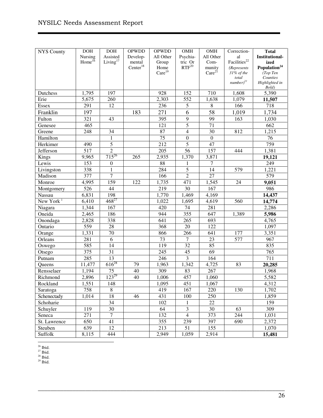| <b>NYS County</b>     | <b>DOH</b>         | <b>DOH</b>       | <b>OPWDD</b>         | OPWDD              | OMH                     | OMH                | Correction-              | <b>Total</b>             |
|-----------------------|--------------------|------------------|----------------------|--------------------|-------------------------|--------------------|--------------------------|--------------------------|
|                       | Nursing            | Assisted         | Develop-             | All Other          | Psychia-                | All Other          | al                       | <b>Institutional-</b>    |
|                       | Home <sup>16</sup> | Living $17$      | mental               | Group              | tric Or                 | Com-               | Facilities <sup>22</sup> | ized                     |
|                       |                    |                  | Center <sup>18</sup> | Home               | $RTF^{20}$              | munity             | (Represents              | Population <sup>24</sup> |
|                       |                    |                  |                      | Care <sup>19</sup> |                         | Care <sup>21</sup> | 31% of the               | (Top Ten<br>Counties     |
|                       |                    |                  |                      |                    |                         |                    | total<br>$number)^{23}$  | Highlighted in           |
|                       |                    |                  |                      |                    |                         |                    |                          | Bold)                    |
| Dutchess              | 1,795              | 197              |                      | 928                | 152                     | 710                | 1,608                    | 5,390                    |
| Erie                  | 5,675              | 260              |                      | 2,303              | 552                     | 1,638              | 1,079                    | 11,507                   |
| <b>Essex</b>          | 291                | 12               |                      | 236                | 5                       | $\,8\,$            | 166                      | 718                      |
| Franklin              | 197                |                  | 183                  | 271                | 6                       | 58                 | 1,019                    | 1,734                    |
| Fulton                | $\overline{321}$   | 43               |                      | 395                | $\overline{9}$          | $\overline{99}$    | 163                      | 1,030                    |
| Genesee               | 465                |                  |                      | 121                | $\overline{5}$          | $\overline{71}$    |                          | 662                      |
| Greene                | $\overline{248}$   | 34               |                      | 87                 | $\overline{4}$          | 30                 | 812                      | 1,215                    |
| Hamilton              |                    | $\mathbf{1}$     |                      | 75                 | $\mathbf{0}$            | $\boldsymbol{0}$   |                          | $\overline{76}$          |
| Herkimer              | 490                | $\overline{5}$   |                      | 212                | 5                       | $\overline{47}$    |                          | 759                      |
| Jefferson             | 517                | $\overline{2}$   |                      | $\overline{205}$   | 56                      | $\overline{157}$   | 444                      | 1,381                    |
| Kings                 | 9,965              | $715^{26}$       | 265                  | 2,935              | 1,370                   | 3,871              |                          | 19,121                   |
| Lewis                 | 153                | $\boldsymbol{0}$ |                      | $\overline{88}$    | 1                       | 7                  |                          | 249                      |
| Livingston            | 338                | $\mathbf{1}$     |                      | 284                | $\overline{5}$          | $\overline{14}$    | 579                      | 1,221                    |
| Madison               | 377                | $\overline{7}$   |                      | 166                | $\overline{2}$          | $\overline{27}$    |                          | 579                      |
| Monroe                | 4,995              | 159              | 122                  | 1,735              | 471                     | 1,545              | 24                       | 9,051                    |
| Montgomery            | $\overline{526}$   | 44               |                      | $\overline{219}$   | $\overline{30}$         | $\overline{167}$   |                          | 986                      |
| <b>Nassau</b>         | 6,831              | 198              |                      | 1,770              | 1,469                   | 4,169              |                          | 14,437                   |
| New York <sup>i</sup> | 6,410              | $468^{27}$       |                      | 1,022              | 1,695                   | 4,619              | 560                      | 14,774                   |
| Niagara               | 1,344              | 167              |                      | 420                | 74                      | 281                |                          | 2,286                    |
| Oneida                | 2,465              | 186              |                      | 944                | 355                     | 647                | 1,389                    | 5,986                    |
| Onondaga              | 2,828              | 338              |                      | 641                | $\overline{265}$        | 693                |                          | 4,765                    |
| Ontario               | 559                | $\overline{28}$  |                      | 368                | $\overline{20}$         | $\overline{122}$   |                          | 1,097                    |
| Orange                | 1,331              | $\overline{70}$  |                      | 866                | 266                     | 641                | 177                      | 3,351                    |
| Orleans               | 281                | $\overline{6}$   |                      | 73                 | $\overline{7}$          | $\overline{23}$    | 577                      | 967                      |
| Oswego                | 585                | 14               |                      | 119                | 32                      | 85                 |                          | 835                      |
| Otsego                | $\overline{375}$   | $\overline{31}$  |                      | $\overline{245}$   | $\overline{45}$         | $\overline{69}$    |                          | 765                      |
| Putnam                | 285                | $\overline{13}$  |                      | 246                | $\overline{3}$          | 164                |                          | 711                      |
| Queens                | 11,477             | $616^{28}$       | 79                   | 1,963              | 1,342                   | 4,725              | 83                       | 20,285                   |
| Rensselaer            | 1,194              | 75               | 40                   | 309                | 83                      | 267                |                          | 1,968                    |
| Richmond              | 2,896              | $123^{29}$       | 40                   | 1,006              | 457                     | 1,060              |                          | 5,582                    |
| Rockland              | 1,551              | 148              |                      | 1,095              | 451                     | 1,067              |                          | 4,312                    |
| Saratoga              | 758                | 8                |                      | 419                | 167                     | 220                | 130                      | 1,702                    |
| Schenectady           | 1,014              | 18               | 46                   | 431                | 100                     | 250                |                          | 1,859                    |
| Schoharie             |                    | 34               |                      | 102                | 1                       | 22                 |                          | 159                      |
| Schuyler              | 119                | 30               |                      | 64                 | $\overline{\mathbf{3}}$ | 30                 | 63                       | 309                      |
| Seneca                | 271                | $\overline{7}$   |                      | 132                | $\overline{4}$          | 373                | 244                      | 1,031                    |
| St. Lawrence          | 650                | 41               |                      | 355                | 239                     | 397                | 690                      | 2,372                    |
| Steuben               | 639                | 12               |                      | 213                | 51                      | 155                |                          | 1,070                    |
| Suffolk               | 8,115              | 444              |                      | 2,949              | 1,059                   | 2,914              |                          | 15,481                   |

\_\_\_\_\_\_\_\_\_\_\_\_\_\_\_\_\_\_\_\_\_\_\_\_\_\_\_\_\_\_\_\_\_\_\_\_\_\_\_\_\_\_\_\_\_\_\_\_\_\_\_\_\_\_\_\_\_\_\_\_\_\_\_\_\_\_\_\_\_\_\_\_\_\_\_\_\_\_

 $\overline{a}$  $26$  Ibid.

 $27$  Ibid.

 $28$  Ibid.

 $29$  Ibid.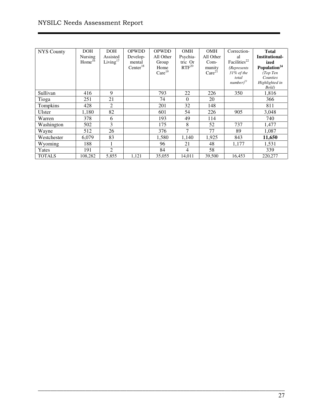| <b>NYS</b> County | <b>DOH</b><br>Nursing<br>Home <sup>16</sup> | <b>DOH</b><br>Assisted<br>Living $17$ | <b>OPWDD</b><br>Develop-<br>mental<br>Center <sup>18</sup> | <b>OPWDD</b><br>All Other<br>Group<br>Home<br>Care <sup>19</sup> | <b>OMH</b><br>Psychia-<br>tric Or<br>$RTF^{20}$ | OMH<br>All Other<br>Com-<br>munity<br>Care <sup>21</sup> | Correction-<br>al<br>Facilities <sup>22</sup><br><i>(Represents</i> )<br>$31\%$ of the<br>total<br>$number)^{23}$ | <b>Total</b><br><b>Institutional-</b><br>ized<br>Population <sup>24</sup><br>(Top Ten<br>Counties<br>Highlighted in<br>Bold) |
|-------------------|---------------------------------------------|---------------------------------------|------------------------------------------------------------|------------------------------------------------------------------|-------------------------------------------------|----------------------------------------------------------|-------------------------------------------------------------------------------------------------------------------|------------------------------------------------------------------------------------------------------------------------------|
| Sullivan          | 416                                         | 9                                     |                                                            | 793                                                              | 22                                              | 226                                                      | 350                                                                                                               | 1,816                                                                                                                        |
| Tioga             | 251                                         | 21                                    |                                                            | 74                                                               | $\Omega$                                        | 20                                                       |                                                                                                                   | 366                                                                                                                          |
| Tompkins          | 428                                         | 2                                     |                                                            | 201                                                              | 32                                              | 148                                                      |                                                                                                                   | 811                                                                                                                          |
| Ulster            | 1,180                                       | 82                                    |                                                            | 601                                                              | 54                                              | 226                                                      | 905                                                                                                               | 3,048                                                                                                                        |
| Warren            | 378                                         | 6                                     |                                                            | 193                                                              | 49                                              | 114                                                      |                                                                                                                   | 740                                                                                                                          |
| Washington        | 502                                         | 3                                     |                                                            | 175                                                              | 8                                               | 52                                                       | 737                                                                                                               | 1,477                                                                                                                        |
| Wayne             | 512                                         | 26                                    |                                                            | 376                                                              | $\tau$                                          | 77                                                       | 89                                                                                                                | 1,087                                                                                                                        |
| Westchester       | 6,079                                       | 83                                    |                                                            | 1,580                                                            | 1,140                                           | 1,925                                                    | 843                                                                                                               | 11,650                                                                                                                       |
| Wyoming           | 188                                         |                                       |                                                            | 96                                                               | 21                                              | 48                                                       | 1,177                                                                                                             | 1,531                                                                                                                        |
| Yates             | 191                                         | 2                                     |                                                            | 84                                                               | 4                                               | 58                                                       |                                                                                                                   | 339                                                                                                                          |
| <b>TOTALS</b>     | 108,282                                     | 5,855                                 | 1,121                                                      | 35,055                                                           | 14,011                                          | 39,500                                                   | 16,453                                                                                                            | 220,277                                                                                                                      |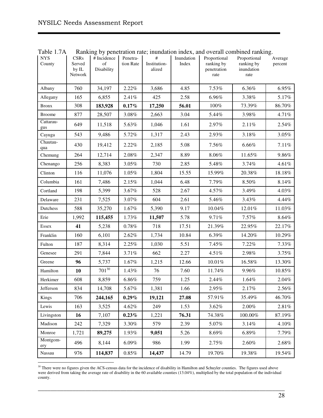$\overline{a}$ 

| <b>NYS</b><br>County | <b>CSRs</b><br>Served<br>by IL<br><b>Network</b> | # Incidence<br>of<br>Disability | Penetra-<br>tion Rate | $\#$<br>Institution-<br>alized | Inundation<br>Index | Proportional<br>ranking by<br>penetration<br>rate | Proportional<br>ranking by<br>inundation<br>rate | Average<br>percent |
|----------------------|--------------------------------------------------|---------------------------------|-----------------------|--------------------------------|---------------------|---------------------------------------------------|--------------------------------------------------|--------------------|
| Albany               | 760                                              | 34,197                          | 2.22%                 | 3,686                          | 4.85                | 7.53%                                             | 6.36%                                            | 6.95%              |
| Allegany             | 165                                              | 6,855                           | 2.41%                 | 425                            | 2.58                | 6.96%                                             | 3.38%                                            | 5.17%              |
| <b>Bronx</b>         | 308                                              | 183,928                         | 0.17%                 | 17,250                         | 56.01               | 100%                                              | 73.39%                                           | 86.70%             |
| <b>Broome</b>        | 877                                              | 28,507                          | 3.08%                 | 2,663                          | 3.04                | 5.44%                                             | 3.98%                                            | 4.71%              |
| Cattarau-<br>gus     | 649                                              | 11,518                          | 5.63%                 | 1,046                          | 1.61                | 2.97%                                             | 2.11%                                            | 2.54%              |
| Cayuga               | 543                                              | 9,486                           | 5.72%                 | 1,317                          | 2.43                | 2.93%                                             | 3.18%                                            | 3.05%              |
| Chautau-<br>qua      | 430                                              | 19,412                          | 2.22%                 | 2,185                          | 5.08                | 7.56%                                             | 6.66%                                            | 7.11%              |
| Chemung              | 264                                              | 12,714                          | 2.08%                 | 2,347                          | 8.89                | 8.06%                                             | 11.65%                                           | 9.86%              |
| Chenango             | 256                                              | 8,383                           | 3.05%                 | 730                            | 2.85                | 5.48%                                             | 3.74%                                            | 4.61%              |
| Clinton              | 116                                              | 11,076                          | 1.05%                 | 1,804                          | 15.55               | 15.99%                                            | 20.38%                                           | 18.18%             |
| Columbia             | 161                                              | 7,486                           | 2.15%                 | 1,044                          | 6.48                | 7.79%                                             | 8.50%                                            | 8.14%              |
| Cortland             | 198                                              | 5,399                           | 3.67%                 | 528                            | 2.67                | 4.57%                                             | 3.49%                                            | 4.03%              |
| Delaware             | 231                                              | 7,525                           | 3.07%                 | 604                            | 2.61                | 5.46%                                             | 3.43%                                            | 4.44%              |
| Dutchess             | 588                                              | 35,270                          | 1.67%                 | 5,390                          | 9.17                | 10.04%                                            | 12.01%                                           | 11.03%             |
| Erie                 | 1,992                                            | 115,455                         | 1.73%                 | 11,507                         | 5.78                | 9.71%                                             | 7.57%                                            | 8.64%              |
| Essex                | 41                                               | 5,238                           | 0.78%                 | 718                            | 17.51               | 21.39%                                            | 22.95%                                           | 22.17%             |
| Franklin             | 160                                              | 6,101                           | 2.62%                 | 1,734                          | 10.84               | 6.39%                                             | 14.20%                                           | 10.29%             |
| Fulton               | 187                                              | 8,314                           | 2.25%                 | 1,030                          | 5.51                | 7.45%                                             | 7.22%                                            | 7.33%              |
| Genesee              | 291                                              | 7,844                           | 3.71%                 | 662                            | 2.27                | 4.51%                                             | 2.98%                                            | 3.75%              |
| Greene               | 96                                               | 5,737                           | 1.67%                 | 1,215                          | 12.66               | $10.01\%$                                         | 16.58%                                           | 13.30%             |
| Hamilton             | 10                                               | $701^{30}$                      | 1.43%                 | 76                             | 7.60                | 11.74%                                            | 9.96%                                            | 10.85%             |
| Herkimer             | 608                                              | 8,859                           | 6.86%                 | 759                            | 1.25                | 2.44%                                             | 1.64%                                            | 2.04%              |
| Jefferson            | 834                                              | 14,708                          | 5.67%                 | 1,381                          | 1.66                | 2.95%                                             | 2.17%                                            | 2.56%              |
| Kings                | 706                                              | 244,165                         | $0.29\%$              | 19,121                         | 27.08               | 57.91%                                            | 35.49%                                           | 46.70%             |
| Lewis                | 163                                              | 3,525                           | 4.62%                 | 249                            | 1.53                | 3.62%                                             | 2.00%                                            | 2.81%              |
| Livingston           | 16                                               | 7,107                           | $0.23\%$              | 1,221                          | 76.31               | 74.38%                                            | 100.00%                                          | 87.19%             |
| Madison              | 242                                              | 7,329                           | 3.30%                 | 579                            | 2.39                | 5.07%                                             | 3.14%                                            | 4.10%              |
| Monroe               | 1,721                                            | 89,275                          | 1.93%                 | 9,051                          | 5.26                | 8.69%                                             | 6.89%                                            | 7.79%              |
| Montgom-<br>ery      | 496                                              | 8,144                           | 6.09%                 | 986                            | 1.99                | 2.75%                                             | $2.60\%$                                         | $2.68\%$           |
| Nassau               | 976                                              | 114,837                         | $0.85\%$              | 14,437                         | 14.79               | 19.70%                                            | 19.38%                                           | 19.54%             |

Table 1.7A Ranking by penetration rate; inundation index, and overall combined ranking.

 $30$  There were no figures given the ACS-census data for the incidence of disability in Hamilton and Schuyler counties. The figures used above were derived from taking the average rate of disability in the 60 available counties (13.04%), multiplied by the total population of the individual county.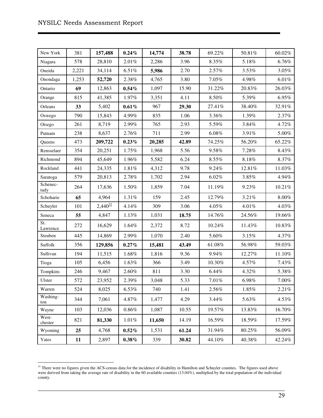$\overline{a}$ 

| New York         | 381   | 157,488                  | 0.24%      | 14,774 | 38.78 | 69.22%   | 50.81%    | 60.02%   |
|------------------|-------|--------------------------|------------|--------|-------|----------|-----------|----------|
| Niagara          | 578   | 28,810                   | 2.01%      | 2,286  | 3.96  | 8.35%    | 5.18%     | 6.76%    |
| Oneida           | 2,221 | 34,114                   | 6.51%      | 5,986  | 2.70  | 2.57%    | 3.53%     | 3.05%    |
| Onondaga         | 1,253 | 52,720                   | 2.38%      | 4,765  | 3.80  | $7.05\%$ | 4.98%     | 6.01%    |
| Ontario          | 69    | 12,863                   | $0.54\%$   | 1,097  | 15.90 | 31.22%   | 20.83%    | 26.03%   |
| Orange           | 815   | 41,385                   | 1.97%      | 3,351  | 4.11  | 8.50%    | 5.39%     | 6.95%    |
| Orleans          | 33    | 5,402                    | 0.61%      | 967    | 29.30 | 27.41%   | 38.40%    | 32.91%   |
| Oswego           | 790   | 15,843                   | 4.99%      | 835    | 1.06  | 3.36%    | 1.39%     | 2.37%    |
| Otsego           | 261   | 8,719                    | 2.99%      | 765    | 2.93  | 5.59%    | 3.84%     | 4.72%    |
| Putnam           | 238   | 8,637                    | 2.76%      | 711    | 2.99  | $6.08\%$ | 3.91%     | 5.00%    |
| Queens           | 473   | 209,722                  | 0.23%      | 20,285 | 42.89 | 74.25%   | 56.20%    | 65.22%   |
| Rensselaer       | 354   | 20,251                   | 1.75%      | 1,968  | 5.56  | 9.58%    | 7.28%     | 8.43%    |
| Richmond         | 894   | 45,649                   | 1.96%      | 5,582  | 6.24  | 8.55%    | $8.18\%$  | 8.37%    |
| Rockland         | 441   | 24,335                   | 1.81%      | 4,312  | 9.78  | 9.24%    | 12.81%    | 11.03%   |
| Saratoga         | 579   | 20,813                   | 2.78%      | 1,702  | 2.94  | 6.02%    | 3.85%     | 4.94%    |
| Schenec-<br>tady | 264   | 17,636                   | 1.50%      | 1,859  | 7.04  | 11.19%   | 9.23%     | 10.21%   |
| Schoharie        | 65    | 4,964                    | 1.31%      | 159    | 2.45  | 12.79%   | 3.21%     | $8.00\%$ |
| Schuyler         | 101   | $2,440^{\underline{31}}$ | 4.14%      | 309    | 3.06  | 4.05%    | 4.01%     | 4.03%    |
| Seneca           | 55    | 4,847                    | 1.13%      | 1,031  | 18.75 | 14.76%   | 24.56%    | 19.66%   |
| St.<br>Lawrence  | 272   | 16,629                   | 1.64%      | 2,372  | 8.72  | 10.24%   | 11.43%    | 10.83%   |
| Steuben          | 445   | 14,869                   | 2.99%      | 1,070  | 2.40  | 5.60%    | 3.15%     | 4.37%    |
| Suffolk          | 356   | 129,856                  | 0.27%      | 15,481 | 43.49 | 61.08%   | 56.98%    | 59.03%   |
| Sullivan         | 194   | 11,515                   | 1.68%      | 1,816  | 9.36  | 9.94%    | 12.27%    | 11.10%   |
| Tioga            | 105   | 6,456                    | 1.63%      | 366    | 3.49  | 10.30%   | 4.57%     | 7.43%    |
| Tompkins         | 246   | 9,467                    | 2.60%      | 811    | 3.30  | 6.44%    | 4.32%     | 5.38%    |
| Ulster           | 572   | 23,952                   | 2.39%      | 3,048  | 5.33  | 7.01%    | 6.98%     | 7.00%    |
| Warren           | 524   | 8,025                    | 6.53%      | 740    | 1.41  | 2.56%    | 1.85%     | 2.21%    |
| Washing-<br>ton  | 344   | 7,061                    | 4.87%      | 1,477  | 4.29  | 3.44%    | 5.63%     | 4.53%    |
| Wayne            | 103   | 12,036                   | $0.86\%$   | 1,087  | 10.55 | 19.57%   | 13.83%    | 16.70%   |
| West-<br>chester | 821   | 81,330                   | $1.01\%$   | 11,650 | 14.19 | 16.59%   | 18.59%    | 17.59%   |
| Wyoming          | 25    | 4,768                    | $0.52\%$   | 1,531  | 61.24 | 31.94%   | 80.25%    | 56.09%   |
| Yates            | 11    | 2,897                    | $0.38\,\%$ | 339    | 30.82 | 44.10%   | $40.38\%$ | 42.24%   |

 $31$  There were no figures given the ACS-census data for the incidence of disability in Hamilton and Schuyler counties. The figures used above were derived from taking the average rate of disability in the 60 available counties (13.04%), multiplied by the total population of the individual county.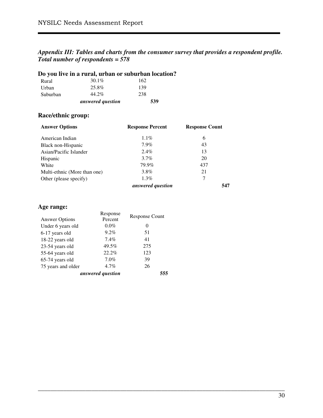#### *Appendix III: Tables and charts from the consumer survey that provides a respondent profile. Total number of respondents = 578*

\_\_\_\_\_\_\_\_\_\_\_\_\_\_\_\_\_\_\_\_\_\_\_\_\_\_\_\_\_\_\_\_\_\_\_\_\_\_\_\_\_\_\_\_\_\_\_\_\_\_\_\_\_\_\_\_\_\_\_\_\_\_\_\_\_\_\_\_\_\_\_\_\_\_\_\_\_\_

|          | Do you live in a rural, urban or suburban location? |     |
|----------|-----------------------------------------------------|-----|
| Rural    | $30.1\%$                                            | 162 |
| Urban    | 25.8%                                               | 139 |
| Suburban | 44.2%                                               | 238 |
|          | answered question                                   | 539 |

### **Race/ethnic group:**

| <b>Answer Options</b>        | <b>Response Percent</b> | <b>Response Count</b> |
|------------------------------|-------------------------|-----------------------|
| American Indian              | $1.1\%$                 | 6                     |
| Black non-Hispanic           | $7.9\%$                 | 43                    |
| Asian/Pacific Islander       | $2.4\%$                 | 13                    |
| Hispanic                     | $3.7\%$                 | 20                    |
| White                        | 79.9%                   | 437                   |
| Multi-ethnic (More than one) | 3.8%                    | 21                    |
| Other (please specify)       | $1.3\%$                 | 7                     |
|                              | answered question       | 547                   |

## **Age range:**

|                       | Response          | <b>Response Count</b> |
|-----------------------|-------------------|-----------------------|
| <b>Answer Options</b> | Percent           |                       |
| Under 6 years old     | $0.0\%$           | $\theta$              |
| 6-17 years old        | 9.2%              | 51                    |
| 18-22 years old       | $7.4\%$           | 41                    |
| 23-54 years old       | 49.5%             | 275                   |
| 55-64 years old       | 22.2%             | 123                   |
| 65-74 years old       | 7.0%              | 39                    |
| 75 years and older    | 4.7%              | 26                    |
|                       | answered question | 555                   |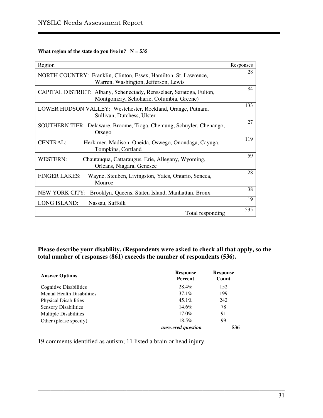#### **What region of the state do you live in?**  $N = 535$

| Region                                                                                                           | Responses |
|------------------------------------------------------------------------------------------------------------------|-----------|
| NORTH COUNTRY: Franklin, Clinton, Essex, Hamilton, St. Lawrence,<br>Warren, Washington, Jefferson, Lewis         | 28        |
| CAPITAL DISTRICT: Albany, Schenectady, Rensselaer, Saratoga, Fulton,<br>Montgomery, Schoharie, Columbia, Greene) | 84        |
| LOWER HUDSON VALLEY: Westchester, Rockland, Orange, Putnam,<br>Sullivan, Dutchess, Ulster                        | 133       |
| SOUTHERN TIER: Delaware, Broome, Tioga, Chemung, Schuyler, Chenango,<br>Otsego                                   | 27        |
| <b>CENTRAL:</b><br>Herkimer, Madison, Oneida, Oswego, Onondaga, Cayuga,<br>Tompkins, Cortland                    | 119       |
| <b>WESTERN:</b><br>Chautauqua, Cattaraugus, Erie, Allegany, Wyoming,<br>Orleans, Niagara, Genesee                | 59        |
| <b>FINGER LAKES:</b><br>Wayne, Steuben, Livingston, Yates, Ontario, Seneca,<br>Monroe                            | 28        |
| NEW YORK CITY: Brooklyn, Queens, Staten Island, Manhattan, Bronx                                                 | 38        |
| <b>LONG ISLAND:</b><br>Nassau, Suffolk                                                                           | 19        |
| Total responding                                                                                                 | 535       |

**Please describe your disability. (Respondents were asked to check all that apply, so the total number of responses (861) exceeds the number of respondents (536).** 

\_\_\_\_\_\_\_\_\_\_\_\_\_\_\_\_\_\_\_\_\_\_\_\_\_\_\_\_\_\_\_\_\_\_\_\_\_\_\_\_\_\_\_\_\_\_\_\_\_\_\_\_\_\_\_\_\_\_\_\_\_\_\_\_\_\_\_\_\_\_\_\_\_\_\_\_\_\_

| <b>Answer Options</b>             | <b>Response</b><br><b>Percent</b> | <b>Response</b><br>Count |
|-----------------------------------|-----------------------------------|--------------------------|
| Cognitive Disabilities            | 28.4%                             | 152                      |
| <b>Mental Health Disabilities</b> | 37.1%                             | 199                      |
| <b>Physical Disabilities</b>      | $45.1\%$                          | 242                      |
| <b>Sensory Disabilities</b>       | 14.6%                             | 78                       |
| <b>Multiple Disabilities</b>      | 17.0%                             | 91                       |
| Other (please specify)            | $18.5\%$                          | 99                       |
|                                   | answered question                 | 536                      |

19 comments identified as autism; 11 listed a brain or head injury.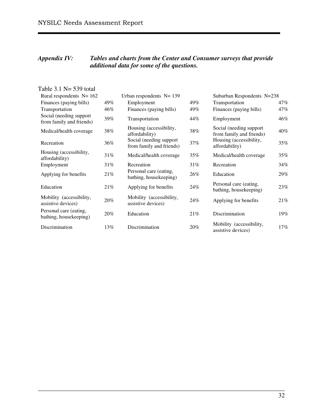#### *Appendix IV: Tables and charts from the Center and Consumer surveys that provide additional data for some of the questions.*

| Table $3.1$ N= 539 total                                   |     |                                                     |     |                                                      |     |
|------------------------------------------------------------|-----|-----------------------------------------------------|-----|------------------------------------------------------|-----|
| Rural respondents $N = 162$<br>Urban respondents $N = 139$ |     |                                                     |     | Suburban Respondents N=238                           |     |
| Finances (paying bills)                                    | 49% | Employment                                          | 49% | Transportation                                       | 47% |
| Transportation                                             | 46% | Finances (paying bills)                             | 49% | Finances (paying bills)                              | 47% |
| Social (needing support<br>from family and friends)        | 39% | Transportation                                      | 44% | Employment                                           | 46% |
| Medical/health coverage                                    | 38% | Housing (accessibility,<br>affordability)           | 38% | Social (needing support)<br>from family and friends) | 40% |
| Recreation                                                 | 36% | Social (needing support<br>from family and friends) | 37% | Housing (accessibility,<br>affordability)            | 35% |
| Housing (accessibility,<br>affordability)                  | 31% | Medical/health coverage                             | 35% | Medical/health coverage                              | 35% |
| Employment                                                 | 31% | Recreation                                          | 31% | Recreation                                           | 34% |
| Applying for benefits                                      | 21% | Personal care (eating,<br>bathing, housekeeping)    | 26% | Education                                            | 29% |
| Education                                                  | 21% | Applying for benefits                               | 24% | Personal care (eating,<br>bathing, housekeeping)     | 23% |
| Mobility (accessibility,<br>assistive devices)             | 20% | Mobility (accessibility,<br>assistive devices)      | 24% | Applying for benefits                                | 21% |
| Personal care (eating,<br>bathing, housekeeping)           | 20% | Education                                           | 21% | Discrimination                                       | 19% |
| Discrimination                                             | 13% | Discrimination                                      | 20% | Mobility (accessibility,<br>assistive devices)       | 17% |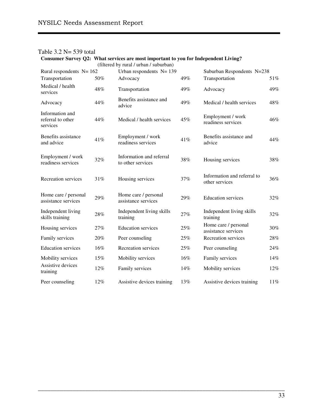|                                                  |     | (filtered by rural / urban / suburban)        |     |                                               |        |
|--------------------------------------------------|-----|-----------------------------------------------|-----|-----------------------------------------------|--------|
| Rural respondents $N = 162$                      |     | Urban respondents $N = 139$                   |     | Suburban Respondents N=238                    |        |
| Transportation                                   | 50% | Advocacy                                      | 49% | Transportation                                | 51%    |
| Medical / health<br>services                     | 48% | Transportation                                | 49% | Advocacy                                      | 49%    |
| Advocacy                                         | 44% | Benefits assistance and<br>advice             | 49% | Medical / health services                     | 48%    |
| Information and<br>referral to other<br>services | 44% | Medical / health services                     | 45% | Employment / work<br>readiness services       | 46%    |
| Benefits assistance<br>and advice                | 41% | Employment / work<br>readiness services       | 41% | Benefits assistance and<br>advice             | 44%    |
| Employment / work<br>readiness services          | 32% | Information and referral<br>to other services | 38% | Housing services                              | 38%    |
| Recreation services                              | 31% | Housing services                              | 37% | Information and referral to<br>other services | 36%    |
| Home care / personal<br>assistance services      | 29% | Home care / personal<br>assistance services   | 29% | <b>Education services</b>                     | 32%    |
| Independent living<br>skills training            | 28% | Independent living skills<br>training         | 27% | Independent living skills<br>training         | 32%    |
| Housing services                                 | 27% | <b>Education services</b>                     | 25% | Home care / personal<br>assistance services   | 30%    |
| Family services                                  | 20% | Peer counseling                               | 25% | Recreation services                           | 28%    |
| <b>Education services</b>                        | 16% | Recreation services                           | 25% | Peer counseling                               | 24%    |
| Mobility services                                | 15% | Mobility services                             | 16% | Family services                               | 14%    |
| Assistive devices<br>training                    | 12% | Family services                               | 14% | Mobility services                             | 12%    |
| Peer counseling                                  | 12% | Assistive devices training                    | 13% | Assistive devices training                    | $11\%$ |

\_\_\_\_\_\_\_\_\_\_\_\_\_\_\_\_\_\_\_\_\_\_\_\_\_\_\_\_\_\_\_\_\_\_\_\_\_\_\_\_\_\_\_\_\_\_\_\_\_\_\_\_\_\_\_\_\_\_\_\_\_\_\_\_\_\_\_\_\_\_\_\_\_\_\_\_\_\_

### Table 3.2 N= 539 total

**Consumer Survey Q2: What services are most important to you for Independent Living?**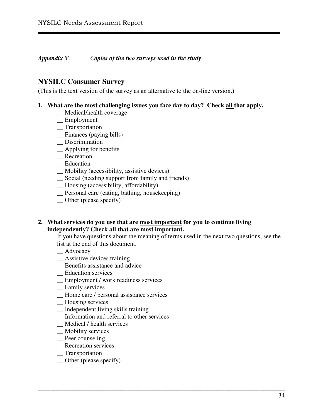*Appendix V: Copies of the two surveys used in the study*

## **NYSILC Consumer Survey**

(This is the text version of the survey as an alternative to the on-line version.)

#### **1. What are the most challenging issues you face day to day? Check all that apply.**

- \_\_ Medical/health coverage
- \_\_ Employment
- \_\_ Transportation
- \_\_ Finances (paying bills)
- \_\_ Discrimination
- \_\_ Applying for benefits
- \_\_ Recreation
- \_\_ Education
- \_\_ Mobility (accessibility, assistive devices)
- \_\_ Social (needing support from family and friends)
- \_\_ Housing (accessibility, affordability)
- \_\_ Personal care (eating, bathing, housekeeping)
- \_\_ Other (please specify)

#### **2. What services do you use that are most important for you to continue living independently? Check all that are most important.**

If you have questions about the meaning of terms used in the next two questions, see the list at the end of this document.

- \_\_ Advocacy
- \_\_ Assistive devices training
- \_\_ Benefits assistance and advice
- \_\_ Education services
- \_\_ Employment / work readiness services
- \_\_ Family services
- \_\_ Home care / personal assistance services
- \_\_ Housing services
- \_\_ Independent living skills training
- \_\_ Information and referral to other services
- \_\_ Medical / health services
- \_\_ Mobility services
- \_\_ Peer counseling
- \_\_ Recreation services
- \_\_ Transportation
- Other (please specify)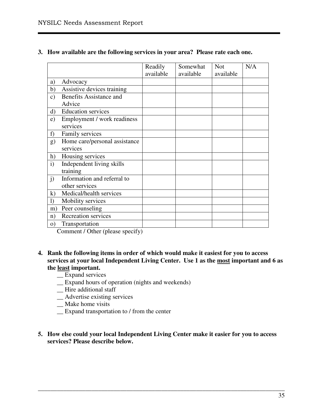|               |                                               | Readily<br>available | Somewhat<br>available | <b>Not</b><br>available | N/A |
|---------------|-----------------------------------------------|----------------------|-----------------------|-------------------------|-----|
| a)            | Advocacy                                      |                      |                       |                         |     |
| b)            | Assistive devices training                    |                      |                       |                         |     |
| $\mathbf{c})$ | <b>Benefits Assistance and</b><br>Advice      |                      |                       |                         |     |
| $\mathbf{d}$  | <b>Education services</b>                     |                      |                       |                         |     |
| e)            | Employment / work readiness<br>services       |                      |                       |                         |     |
| f             | Family services                               |                      |                       |                         |     |
| g)            | Home care/personal assistance<br>services     |                      |                       |                         |     |
| h)            | Housing services                              |                      |                       |                         |     |
| $\mathbf{i}$  | Independent living skills<br>training         |                      |                       |                         |     |
| $\mathbf{j}$  | Information and referral to<br>other services |                      |                       |                         |     |
| $\bf k$       | Medical/health services                       |                      |                       |                         |     |
| $\bf{I}$      | Mobility services                             |                      |                       |                         |     |
| m)            | Peer counseling                               |                      |                       |                         |     |
| n)            | <b>Recreation services</b>                    |                      |                       |                         |     |
| $\Omega$      | Transportation                                |                      |                       |                         |     |

#### **3. How available are the following services in your area? Please rate each one.**

Comment / Other (please specify)

#### **4. Rank the following items in order of which would make it easiest for you to access services at your local Independent Living Center. Use 1 as the most important and 6 as the least important.**

- \_\_ Expand services
- \_\_ Expand hours of operation (nights and weekends)
- \_\_ Hire additional staff
- \_\_ Advertise existing services
- \_\_ Make home visits
- \_\_ Expand transportation to / from the center
- **5. How else could your local Independent Living Center make it easier for you to access services? Please describe below.**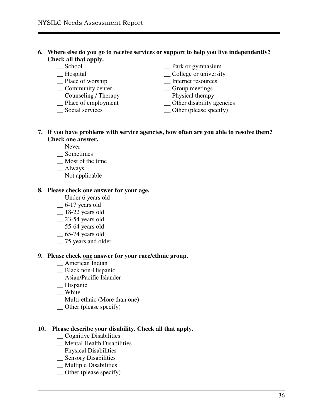#### **6. Where else do you go to receive services or support to help you live independently? Check all that apply.**

- \_\_ School
- \_\_ Hospital
- \_\_ Place of worship
- \_\_ Community center
- \_\_ Counseling / Therapy
- \_\_ Place of employment
- \_\_ Social services

\_\_ Park or gymnasium

- \_\_ College or university
- \_\_ Internet resources
- \_\_ Group meetings
- \_\_ Physical therapy
- \_\_ Other disability agencies
- \_\_ Other (please specify)

#### **7. If you have problems with service agencies, how often are you able to resolve them? Check one answer.**

\_\_\_\_\_\_\_\_\_\_\_\_\_\_\_\_\_\_\_\_\_\_\_\_\_\_\_\_\_\_\_\_\_\_\_\_\_\_\_\_\_\_\_\_\_\_\_\_\_\_\_\_\_\_\_\_\_\_\_\_\_\_\_\_\_\_\_\_\_\_\_\_\_\_\_\_\_\_

- \_\_ Never
- \_\_ Sometimes
- \_\_ Most of the time
- \_\_ Always
- \_\_ Not applicable

#### **8. Please check one answer for your age.**

- \_\_ Under 6 years old
- $-6-17$  years old
- \_\_ 18-22 years old
- $-$  23-54 years old
- \_\_ 55-64 years old
- $-65-74$  years old
- $-$  75 years and older

#### **9. Please check one answer for your race/ethnic group.**

- \_\_ American Indian
- \_\_ Black non-Hispanic
- \_\_ Asian/Pacific Islander
- \_\_ Hispanic
- \_\_ White
- \_\_ Multi-ethnic (More than one)
- \_\_ Other (please specify)

#### **10. Please describe your disability. Check all that apply.**

- \_\_ Cognitive Disabilities
- \_\_ Mental Health Disabilities
- \_\_ Physical Disabilities
- \_\_ Sensory Disabilities
- \_\_ Multiple Disabilities
- \_\_ Other (please specify)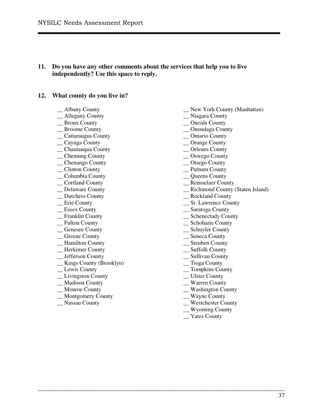#### **11. Do you have any other comments about the services that help you to live independently? Use this space to reply.**

#### **12. What county do you live in?**

- \_\_ Albany County
- \_\_ Allegany County
- \_\_ Bronx County
- \_\_ Broome County
- \_\_ Cattaraugus County
- \_\_ Cayuga County
- \_\_ Chautauqua County
- \_\_ Chemung County
- \_\_ Chenango County
- \_\_ Clinton County
- \_\_ Columbia County
- \_\_ Cortland County \_\_ Delaware County
- \_ Dutchess County
- \_\_ Erie County
- \_\_ Essex County
- \_\_ Franklin County
- \_\_ Fulton County
- \_\_ Genesee County
- \_\_ Greene County
- \_\_ Hamilton County
- \_\_ Herkimer County
- \_\_ Jefferson County
- \_\_ Kings County (Brooklyn)
- \_\_ Lewis County
- \_\_ Livingston County
- \_\_ Madison County
- \_\_ Monroe County
- \_\_ Montgomery County
- \_\_ Nassau County
- \_\_ New York County (Manhattan)
- \_\_ Niagara County
- \_\_ Oneida County
- \_\_ Onondaga County
- \_\_ Ontario County
- \_\_ Orange County
- \_\_ Orleans County
- \_\_ Oswego County
- \_\_ Otsego County
- \_\_ Putnam County
- \_\_ Queens County
- \_\_ Rensselaer County
- \_\_ Richmond County (Staten Island)
- \_\_ Rockland County
- \_\_ St. Lawrence County
- \_\_ Saratoga County
- \_\_ Schenectady County
- \_\_ Schoharie County
- \_\_ Schuyler County
- \_\_ Seneca County
- \_\_ Steuben County
- \_\_ Suffolk County
- \_\_ Sullivan County
- \_\_ Tioga County
- \_\_ Tompkins County
- \_\_ Ulster County
- \_\_ Warren County
- \_\_ Washington County
- \_\_ Wayne County
- \_\_ Westchester County
- \_\_ Wyoming County
- \_\_ Yates County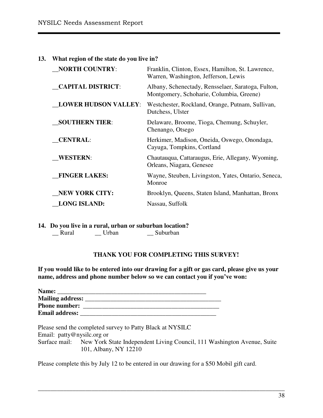| 13. | What region of the state do you live in? |                                                                                                |  |  |  |
|-----|------------------------------------------|------------------------------------------------------------------------------------------------|--|--|--|
|     | <b>NORTH COUNTRY:</b>                    | Franklin, Clinton, Essex, Hamilton, St. Lawrence,<br>Warren, Washington, Jefferson, Lewis      |  |  |  |
|     | <b>CAPITAL DISTRICT:</b>                 | Albany, Schenectady, Rensselaer, Saratoga, Fulton,<br>Montgomery, Schoharie, Columbia, Greene) |  |  |  |
|     | <b>LOWER HUDSON VALLEY:</b>              | Westchester, Rockland, Orange, Putnam, Sullivan,<br>Dutchess, Ulster                           |  |  |  |
|     | <b>SOUTHERN TIER:</b>                    | Delaware, Broome, Tioga, Chemung, Schuyler,<br>Chenango, Otsego                                |  |  |  |
|     | <b>CENTRAL:</b>                          | Herkimer, Madison, Oneida, Oswego, Onondaga,<br>Cayuga, Tompkins, Cortland                     |  |  |  |
|     | <b>WESTERN:</b>                          | Chautauqua, Cattaraugus, Erie, Allegany, Wyoming,<br>Orleans, Niagara, Genesee                 |  |  |  |
|     | <b>FINGER LAKES:</b>                     | Wayne, Steuben, Livingston, Yates, Ontario, Seneca,<br>Monroe                                  |  |  |  |
|     | <b>NEW YORK CITY:</b>                    | Brooklyn, Queens, Staten Island, Manhattan, Bronx                                              |  |  |  |
|     | <b>LONG ISLAND:</b>                      | Nassau, Suffolk                                                                                |  |  |  |
|     |                                          |                                                                                                |  |  |  |

**14. Do you live in a rural, urban or suburban location?**  $\Box$  Suburban

#### **THANK YOU FOR COMPLETING THIS SURVEY!**

**If you would like to be entered into our drawing for a gift or gas card, please give us your name, address and phone number below so we can contact you if you've won:** 

| Name:                   |  |
|-------------------------|--|
| <b>Mailing address:</b> |  |
| <b>Phone number:</b>    |  |
| <b>Email address:</b>   |  |

Please send the completed survey to Patty Black at NYSILC

Email: patty@nysilc.org or

Surface mail: New York State Independent Living Council, 111 Washington Avenue, Suite 101, Albany, NY 12210

\_\_\_\_\_\_\_\_\_\_\_\_\_\_\_\_\_\_\_\_\_\_\_\_\_\_\_\_\_\_\_\_\_\_\_\_\_\_\_\_\_\_\_\_\_\_\_\_\_\_\_\_\_\_\_\_\_\_\_\_\_\_\_\_\_\_\_\_\_\_\_\_\_\_\_\_\_\_

Please complete this by July 12 to be entered in our drawing for a \$50 Mobil gift card.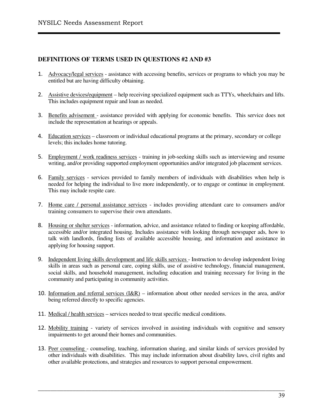#### **DEFINITIONS OF TERMS USED IN QUESTIONS #2 AND #3**

- 1. Advocacy/legal services assistance with accessing benefits, services or programs to which you may be entitled but are having difficulty obtaining.
- 2. Assistive devices/equipment help receiving specialized equipment such as TTYs, wheelchairs and lifts. This includes equipment repair and loan as needed.
- 3. Benefits advisement assistance provided with applying for economic benefits. This service does not include the representation at hearings or appeals.
- 4. Education services classroom or individual educational programs at the primary, secondary or college levels; this includes home tutoring.
- 5. Employment / work readiness services training in job-seeking skills such as interviewing and resume writing, and/or providing supported employment opportunities and/or integrated job placement services.
- 6. Family services services provided to family members of individuals with disabilities when help is needed for helping the individual to live more independently, or to engage or continue in employment. This may include respite care.
- 7. Home care / personal assistance services includes providing attendant care to consumers and/or training consumers to supervise their own attendants.
- 8. Housing or shelter services information, advice, and assistance related to finding or keeping affordable, accessible and/or integrated housing. Includes assistance with looking through newspaper ads, how to talk with landlords, finding lists of available accessible housing, and information and assistance in applying for housing support.
- 9. Independent living skills development and life skills services Instruction to develop independent living skills in areas such as personal care, coping skills, use of assistive technology, financial management, social skills, and household management, including education and training necessary for living in the community and participating in community activities.
- 10. Information and referral services  $(I\&R)$  information about other needed services in the area, and/or being referred directly to specific agencies.
- 11. Medical / health services services needed to treat specific medical conditions.
- 12. Mobility training variety of services involved in assisting individuals with cognitive and sensory impairments to get around their homes and communities.
- 13. Peer counseling counseling, teaching, information sharing, and similar kinds of services provided by other individuals with disabilities. This may include information about disability laws, civil rights and other available protections, and strategies and resources to support personal empowerment.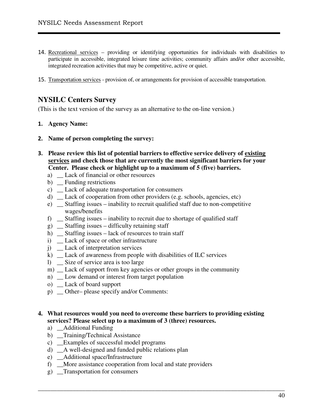- 14. Recreational services providing or identifying opportunities for individuals with disabilities to participate in accessible, integrated leisure time activities; community affairs and/or other accessible, integrated recreation activities that may be competitive, active or quiet.
- 15. Transportation services provision of, or arrangements for provision of accessible transportation.

## **NYSILC Centers Survey**

(This is the text version of the survey as an alternative to the on-line version.)

#### 1. **Agency Name:**

- 2. **Name of person completing the survey:**
- 3. **Please review this list of potential barriers to effective service delivery of existing services and check those that are currently the most significant barriers for your Center. Please check or highlight up to a maximum of 5 (five) barriers.** 
	- a) Lack of financial or other resources
	- b) \_\_ Funding restrictions
	- c) \_\_ Lack of adequate transportation for consumers
	- d) \_\_ Lack of cooperation from other providers (e.g. schools, agencies, etc)
	- e) \_\_ Staffing issues inability to recruit qualified staff due to non-competitive wages/benefits
	- f)  $\Box$  Staffing issues inability to recruit due to shortage of qualified staff
	- $g)$  \_ Staffing issues difficulty retaining staff
	- h) \_ Staffing issues lack of resources to train staff
	- i) \_ Lack of space or other infrastructure
	- j) \_ Lack of interpretation services
	- k) \_\_ Lack of awareness from people with disabilities of ILC services
	- l) \_\_ Size of service area is too large
	- m) Lack of support from key agencies or other groups in the community
	- n) \_ Low demand or interest from target population
	- o) \_\_ Lack of board support
	- p) \_\_ Other– please specify and/or Comments:

#### **4. What resources would you need to overcome these barriers to providing existing services? Please select up to a maximum of 3 (three) resources.**

- a) \_\_Additional Funding
- b) Training/Technical Assistance
- c) \_\_Examples of successful model programs
- d) \_\_A well-designed and funded public relations plan
- e) \_\_Additional space/Infrastructure
- f) \_\_More assistance cooperation from local and state providers
- g) \_\_Transportation for consumers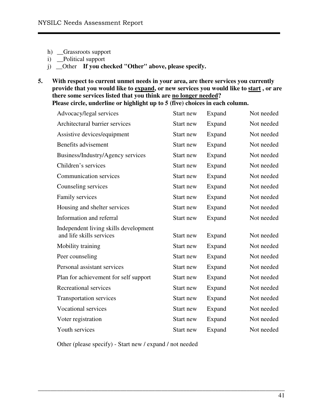- h) \_Grassroots support
- i) \_\_Political support
- j) \_\_Other **If you checked "Other" above, please specify.**
- **5. With respect to current unmet needs in your area, are there services you currently provide that you would like to expand, or new services you would like to start , or are there some services listed that you think are no longer needed?**  Please circle, underline or highlight up to 5 (five) choices in each column.

| Start new | Expand | Not needed |
|-----------|--------|------------|
| Start new | Expand | Not needed |
| Start new | Expand | Not needed |
| Start new | Expand | Not needed |
| Start new | Expand | Not needed |
| Start new | Expand | Not needed |
| Start new | Expand | Not needed |
| Start new | Expand | Not needed |
| Start new | Expand | Not needed |
| Start new | Expand | Not needed |
| Start new | Expand | Not needed |
| Start new | Expand | Not needed |
| Start new | Expand | Not needed |
| Start new | Expand | Not needed |
| Start new | Expand | Not needed |
| Start new | Expand | Not needed |
| Start new | Expand | Not needed |
| Start new | Expand | Not needed |
| Start new | Expand | Not needed |
| Start new | Expand | Not needed |
|           |        |            |
|           |        |            |

\_\_\_\_\_\_\_\_\_\_\_\_\_\_\_\_\_\_\_\_\_\_\_\_\_\_\_\_\_\_\_\_\_\_\_\_\_\_\_\_\_\_\_\_\_\_\_\_\_\_\_\_\_\_\_\_\_\_\_\_\_\_\_\_\_\_\_\_\_\_\_\_\_\_\_\_\_\_

Other (please specify) - Start new / expand / not needed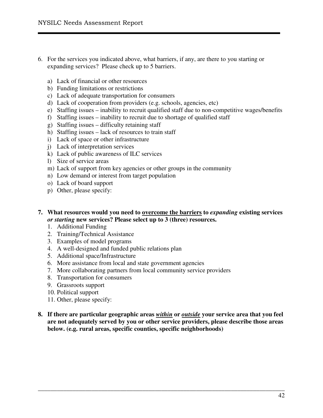- 6. For the services you indicated above, what barriers, if any, are there to you starting or expanding services? Please check up to 5 barriers.
	- a) Lack of financial or other resources
	- b) Funding limitations or restrictions
	- c) Lack of adequate transportation for consumers
	- d) Lack of cooperation from providers (e.g. schools, agencies, etc)
	- e) Staffing issues inability to recruit qualified staff due to non-competitive wages/benefits
	- f) Staffing issues inability to recruit due to shortage of qualified staff
	- g) Staffing issues difficulty retaining staff
	- h) Staffing issues lack of resources to train staff
	- i) Lack of space or other infrastructure
	- j) Lack of interpretation services
	- k) Lack of public awareness of ILC services
	- l) Size of service areas
	- m) Lack of support from key agencies or other groups in the community
	- n) Low demand or interest from target population
	- o) Lack of board support
	- p) Other, please specify:
- **7. What resources would you need to overcome the barriers to** *expanding* **existing services**  *or starting* **new services? Please select up to 3 (three) resources.** 
	- 1. Additional Funding
	- 2. Training/Technical Assistance
	- 3. Examples of model programs
	- 4. A well-designed and funded public relations plan
	- 5. Additional space/Infrastructure
	- 6. More assistance from local and state government agencies
	- 7. More collaborating partners from local community service providers
	- 8. Transportation for consumers
	- 9. Grassroots support
	- 10. Political support
	- 11. Other, please specify:
- **8. If there are particular geographic areas** *within* **or** *outside* **your service area that you feel are not adequately served by you or other service providers, please describe those areas below. (e.g. rural areas, specific counties, specific neighborhoods)**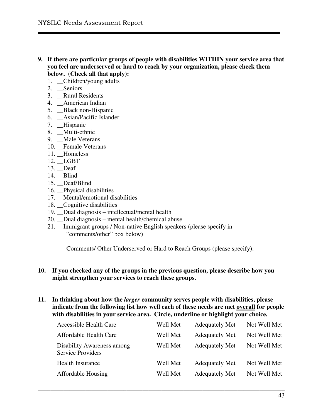- **9. If there are particular groups of people with disabilities WITHIN your service area that you feel are underserved or hard to reach by your organization, please check them below. (Check all that apply):** 
	- 1. \_\_Children/young adults
	- 2. \_\_Seniors
	- 3. \_\_Rural Residents
	- 4. \_\_American Indian
	- 5. \_\_Black non-Hispanic
	- 6. \_\_Asian/Pacific Islander
	- 7. \_\_Hispanic
	- 8. \_\_Multi-ethnic
	- 9. \_\_Male Veterans
	- 10. Female Veterans
	- 11. \_\_Homeless
	- 12. \_\_LGBT
	- 13. \_\_Deaf
	- 14. \_\_Blind
	- 15. \_\_Deaf/Blind
	- 16. Physical disabilities
	- 17. Mental/emotional disabilities
	- 18. \_\_Cognitive disabilities
	- 19. Dual diagnosis intellectual/mental health
	- 20. \_\_Dual diagnosis mental health/chemical abuse
	- 21. Immigrant groups / Non-native English speakers (please specify in "comments/other" box below)

Comments/ Other Underserved or Hard to Reach Groups (please specify):

#### **10. If you checked any of the groups in the previous question, please describe how you might strengthen your services to reach these groups.**

**11. In thinking about how the** *larger* **community serves people with disabilities, please indicate from the following list how well each of these needs are met overall for people with disabilities in your service area. Circle, underline or highlight your choice.** 

| <b>Accessible Health Care</b>                          | Well Met | <b>Adequately Met</b> | Not Well Met |
|--------------------------------------------------------|----------|-----------------------|--------------|
| Affordable Health Care                                 | Well Met | <b>Adequately Met</b> | Not Well Met |
| Disability Awareness among<br><b>Service Providers</b> | Well Met | <b>Adequately Met</b> | Not Well Met |
| <b>Health Insurance</b>                                | Well Met | <b>Adequately Met</b> | Not Well Met |
| Affordable Housing                                     | Well Met | <b>Adequately Met</b> | Not Well Met |